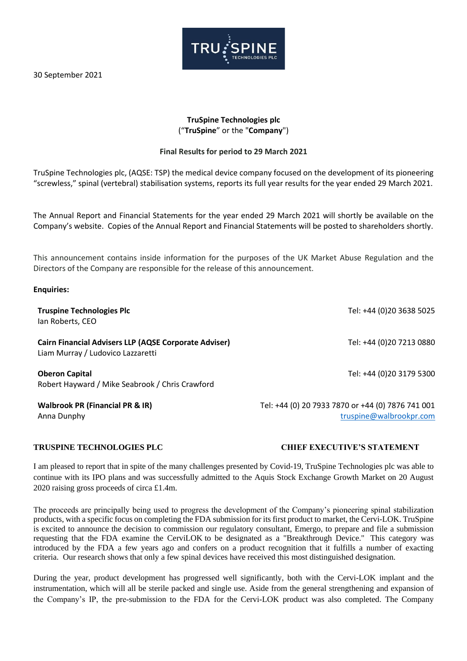30 September 2021



# **TruSpine Technologies plc** ("**TruSpine**" or the "**Company**")

# **Final Results for period to 29 March 2021**

TruSpine Technologies plc, (AQSE: TSP) the medical device company focused on the development of its pioneering "screwless," spinal (vertebral) stabilisation systems, reports its full year results for the year ended 29 March 2021.

The Annual Report and Financial Statements for the year ended 29 March 2021 will shortly be available on the Company's website. Copies of the Annual Report and Financial Statements will be posted to shareholders shortly.

This announcement contains inside information for the purposes of the UK Market Abuse Regulation and the Directors of the Company are responsible for the release of this announcement.

#### **Enquiries:**

| <b>Truspine Technologies Plc</b><br>lan Roberts, CEO                                              | Tel: +44 (0)20 3638 5025                                                     |
|---------------------------------------------------------------------------------------------------|------------------------------------------------------------------------------|
| <b>Cairn Financial Advisers LLP (AQSE Corporate Adviser)</b><br>Liam Murray / Ludovico Lazzaretti | Tel: +44 (0)20 7213 0880                                                     |
| <b>Oberon Capital</b><br>Robert Hayward / Mike Seabrook / Chris Crawford                          | Tel: +44 (0)20 3179 5300                                                     |
| <b>Walbrook PR (Financial PR &amp; IR)</b><br>Anna Dunphy                                         | Tel: +44 (0) 20 7933 7870 or +44 (0) 7876 741 001<br>truspine@walbrookpr.com |

I am pleased to report that in spite of the many challenges presented by Covid-19, TruSpine Technologies plc was able to continue with its IPO plans and was successfully admitted to the Aquis Stock Exchange Growth Market on 20 August 2020 raising gross proceeds of circa £1.4m.

The proceeds are principally being used to progress the development of the Company's pioneering spinal stabilization products, with a specific focus on completing the FDA submission for its first product to market, the Cervi-LOK. TruSpine is excited to announce the decision to commission our regulatory consultant, Emergo, to prepare and file a submission requesting that the FDA examine the CerviLOK to be designated as a "Breakthrough Device." This category was introduced by the FDA a few years ago and confers on a product recognition that it fulfills a number of exacting criteria. Our research shows that only a few spinal devices have received this most distinguished designation.

During the year, product development has progressed well significantly, both with the Cervi-LOK implant and the instrumentation, which will all be sterile packed and single use. Aside from the general strengthening and expansion of the Company's IP, the pre-submission to the FDA for the Cervi-LOK product was also completed. The Company

# **TRUSPINE TECHNOLOGIES PLC CHIEF EXECUTIVE'S STATEMENT**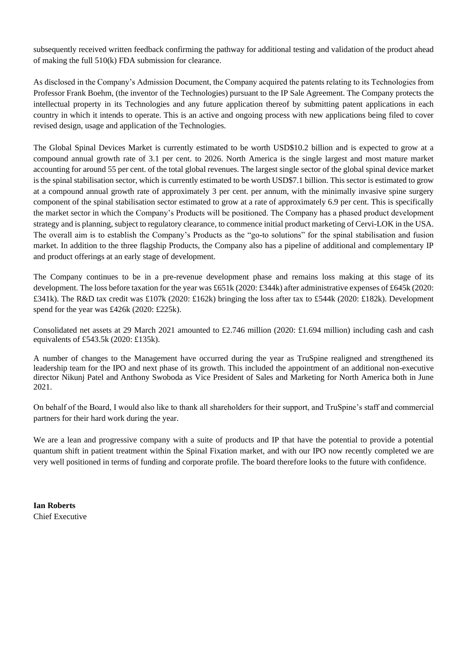subsequently received written feedback confirming the pathway for additional testing and validation of the product ahead of making the full 510(k) FDA submission for clearance.

As disclosed in the Company's Admission Document, the Company acquired the patents relating to its Technologies from Professor Frank Boehm, (the inventor of the Technologies) pursuant to the IP Sale Agreement. The Company protects the intellectual property in its Technologies and any future application thereof by submitting patent applications in each country in which it intends to operate. This is an active and ongoing process with new applications being filed to cover revised design, usage and application of the Technologies.

The Global Spinal Devices Market is currently estimated to be worth USD\$10.2 billion and is expected to grow at a compound annual growth rate of 3.1 per cent. to 2026. North America is the single largest and most mature market accounting for around 55 per cent. of the total global revenues. The largest single sector of the global spinal device market is the spinal stabilisation sector, which is currently estimated to be worth USD\$7.1 billion. This sector is estimated to grow at a compound annual growth rate of approximately 3 per cent. per annum, with the minimally invasive spine surgery component of the spinal stabilisation sector estimated to grow at a rate of approximately 6.9 per cent. This is specifically the market sector in which the Company's Products will be positioned. The Company has a phased product development strategy and is planning, subject to regulatory clearance, to commence initial product marketing of Cervi-LOK in the USA. The overall aim is to establish the Company's Products as the "go-to solutions" for the spinal stabilisation and fusion market. In addition to the three flagship Products, the Company also has a pipeline of additional and complementary IP and product offerings at an early stage of development.

The Company continues to be in a pre-revenue development phase and remains loss making at this stage of its development. The loss before taxation for the year was £651k (2020: £344k) after administrative expenses of £645k (2020: £341k). The R&D tax credit was £107k (2020: £162k) bringing the loss after tax to £544k (2020: £182k). Development spend for the year was £426k (2020: £225k).

Consolidated net assets at 29 March 2021 amounted to £2.746 million (2020: £1.694 million) including cash and cash equivalents of £543.5k (2020: £135k).

A number of changes to the Management have occurred during the year as TruSpine realigned and strengthened its leadership team for the IPO and next phase of its growth. This included the appointment of an additional non-executive director Nikunj Patel and Anthony Swoboda as Vice President of Sales and Marketing for North America both in June 2021.

On behalf of the Board, I would also like to thank all shareholders for their support, and TruSpine's staff and commercial partners for their hard work during the year.

We are a lean and progressive company with a suite of products and IP that have the potential to provide a potential quantum shift in patient treatment within the Spinal Fixation market, and with our IPO now recently completed we are very well positioned in terms of funding and corporate profile. The board therefore looks to the future with confidence.

**Ian Roberts** Chief Executive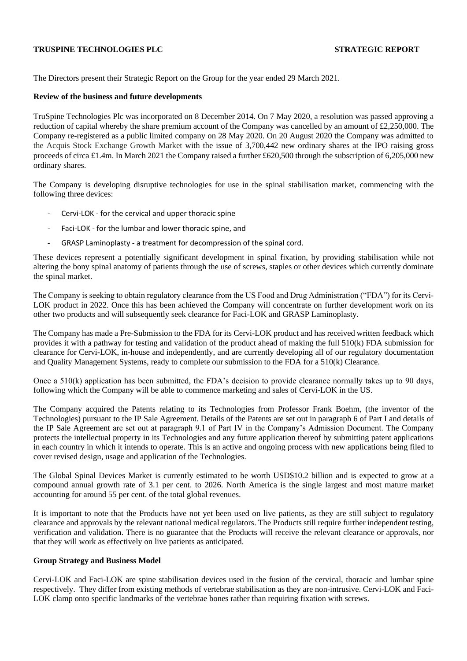## **TRUSPINE TECHNOLOGIES PLC STRATEGIC REPORT**

The Directors present their Strategic Report on the Group for the year ended 29 March 2021.

#### **Review of the business and future developments**

TruSpine Technologies Plc was incorporated on 8 December 2014. On 7 May 2020, a resolution was passed approving a reduction of capital whereby the share premium account of the Company was cancelled by an amount of £2,250,000. The Company re-registered as a public limited company on 28 May 2020. On 20 August 2020 the Company was admitted to the Acquis Stock Exchange Growth Market with the issue of 3,700,442 new ordinary shares at the IPO raising gross proceeds of circa £1.4m. In March 2021 the Company raised a further £620,500 through the subscription of 6,205,000 new ordinary shares.

The Company is developing disruptive technologies for use in the spinal stabilisation market, commencing with the following three devices:

- Cervi-LOK for the cervical and upper thoracic spine
- Faci-LOK for the lumbar and lower thoracic spine, and
- GRASP Laminoplasty a treatment for decompression of the spinal cord.

These devices represent a potentially significant development in spinal fixation, by providing stabilisation while not altering the bony spinal anatomy of patients through the use of screws, staples or other devices which currently dominate the spinal market.

The Company is seeking to obtain regulatory clearance from the US Food and Drug Administration ("FDA") for its Cervi-LOK product in 2022. Once this has been achieved the Company will concentrate on further development work on its other two products and will subsequently seek clearance for Faci-LOK and GRASP Laminoplasty.

The Company has made a Pre-Submission to the FDA for its Cervi-LOK product and has received written feedback which provides it with a pathway for testing and validation of the product ahead of making the full 510(k) FDA submission for clearance for Cervi-LOK, in-house and independently, and are currently developing all of our regulatory documentation and Quality Management Systems, ready to complete our submission to the FDA for a 510(k) Clearance.

Once a  $510(k)$  application has been submitted, the FDA's decision to provide clearance normally takes up to 90 days, following which the Company will be able to commence marketing and sales of Cervi-LOK in the US.

The Company acquired the Patents relating to its Technologies from Professor Frank Boehm, (the inventor of the Technologies) pursuant to the IP Sale Agreement. Details of the Patents are set out in paragraph 6 of Part I and details of the IP Sale Agreement are set out at paragraph 9.1 of Part IV in the Company's Admission Document. The Company protects the intellectual property in its Technologies and any future application thereof by submitting patent applications in each country in which it intends to operate. This is an active and ongoing process with new applications being filed to cover revised design, usage and application of the Technologies.

The Global Spinal Devices Market is currently estimated to be worth USD\$10.2 billion and is expected to grow at a compound annual growth rate of 3.1 per cent. to 2026. North America is the single largest and most mature market accounting for around 55 per cent. of the total global revenues.

It is important to note that the Products have not yet been used on live patients, as they are still subject to regulatory clearance and approvals by the relevant national medical regulators. The Products still require further independent testing, verification and validation. There is no guarantee that the Products will receive the relevant clearance or approvals, nor that they will work as effectively on live patients as anticipated.

#### **Group Strategy and Business Model**

Cervi-LOK and Faci-LOK are spine stabilisation devices used in the fusion of the cervical, thoracic and lumbar spine respectively. They differ from existing methods of vertebrae stabilisation as they are non-intrusive. Cervi-LOK and Faci-LOK clamp onto specific landmarks of the vertebrae bones rather than requiring fixation with screws.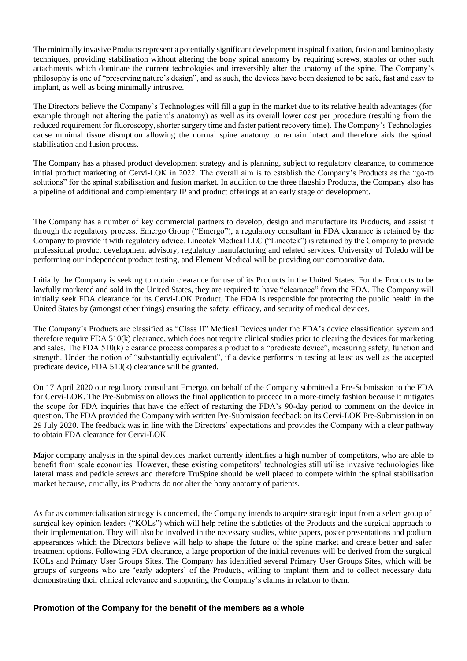The minimally invasive Products represent a potentially significant development in spinal fixation, fusion and laminoplasty techniques, providing stabilisation without altering the bony spinal anatomy by requiring screws, staples or other such attachments which dominate the current technologies and irreversibly alter the anatomy of the spine. The Company's philosophy is one of "preserving nature's design", and as such, the devices have been designed to be safe, fast and easy to implant, as well as being minimally intrusive.

The Directors believe the Company's Technologies will fill a gap in the market due to its relative health advantages (for example through not altering the patient's anatomy) as well as its overall lower cost per procedure (resulting from the reduced requirement for fluoroscopy, shorter surgery time and faster patient recovery time). The Company's Technologies cause minimal tissue disruption allowing the normal spine anatomy to remain intact and therefore aids the spinal stabilisation and fusion process.

The Company has a phased product development strategy and is planning, subject to regulatory clearance, to commence initial product marketing of Cervi-LOK in 2022. The overall aim is to establish the Company's Products as the "go-to solutions" for the spinal stabilisation and fusion market. In addition to the three flagship Products, the Company also has a pipeline of additional and complementary IP and product offerings at an early stage of development.

The Company has a number of key commercial partners to develop, design and manufacture its Products, and assist it through the regulatory process. Emergo Group ("Emergo"), a regulatory consultant in FDA clearance is retained by the Company to provide it with regulatory advice. Lincotek Medical LLC ("Lincotek") is retained by the Company to provide professional product development advisory, regulatory manufacturing and related services. University of Toledo will be performing our independent product testing, and Element Medical will be providing our comparative data.

Initially the Company is seeking to obtain clearance for use of its Products in the United States. For the Products to be lawfully marketed and sold in the United States, they are required to have "clearance" from the FDA. The Company will initially seek FDA clearance for its Cervi-LOK Product. The FDA is responsible for protecting the public health in the United States by (amongst other things) ensuring the safety, efficacy, and security of medical devices.

The Company's Products are classified as "Class II" Medical Devices under the FDA's device classification system and therefore require FDA 510(k) clearance, which does not require clinical studies prior to clearing the devices for marketing and sales. The FDA 510(k) clearance process compares a product to a "predicate device", measuring safety, function and strength. Under the notion of "substantially equivalent", if a device performs in testing at least as well as the accepted predicate device, FDA 510(k) clearance will be granted.

On 17 April 2020 our regulatory consultant Emergo, on behalf of the Company submitted a Pre-Submission to the FDA for Cervi-LOK. The Pre-Submission allows the final application to proceed in a more-timely fashion because it mitigates the scope for FDA inquiries that have the effect of restarting the FDA's 90-day period to comment on the device in question. The FDA provided the Company with written Pre-Submission feedback on its Cervi-LOK Pre-Submission in on 29 July 2020. The feedback was in line with the Directors' expectations and provides the Company with a clear pathway to obtain FDA clearance for Cervi-LOK.

Major company analysis in the spinal devices market currently identifies a high number of competitors, who are able to benefit from scale economies. However, these existing competitors' technologies still utilise invasive technologies like lateral mass and pedicle screws and therefore TruSpine should be well placed to compete within the spinal stabilisation market because, crucially, its Products do not alter the bony anatomy of patients.

As far as commercialisation strategy is concerned, the Company intends to acquire strategic input from a select group of surgical key opinion leaders ("KOLs") which will help refine the subtleties of the Products and the surgical approach to their implementation. They will also be involved in the necessary studies, white papers, poster presentations and podium appearances which the Directors believe will help to shape the future of the spine market and create better and safer treatment options. Following FDA clearance, a large proportion of the initial revenues will be derived from the surgical KOLs and Primary User Groups Sites. The Company has identified several Primary User Groups Sites, which will be groups of surgeons who are 'early adopters' of the Products, willing to implant them and to collect necessary data demonstrating their clinical relevance and supporting the Company's claims in relation to them.

# **Promotion of the Company for the benefit of the members as a whole**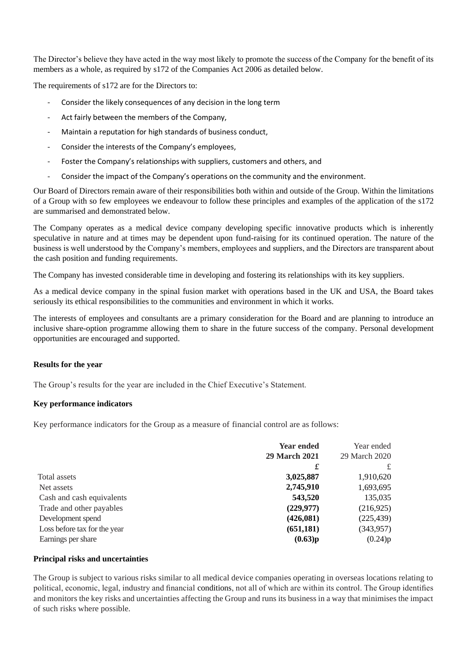The Director's believe they have acted in the way most likely to promote the success of the Company for the benefit of its members as a whole, as required by s172 of the Companies Act 2006 as detailed below.

The requirements of s172 are for the Directors to:

- Consider the likely consequences of any decision in the long term
- Act fairly between the members of the Company,
- Maintain a reputation for high standards of business conduct,
- Consider the interests of the Company's employees,
- Foster the Company's relationships with suppliers, customers and others, and
- Consider the impact of the Company's operations on the community and the environment.

Our Board of Directors remain aware of their responsibilities both within and outside of the Group. Within the limitations of a Group with so few employees we endeavour to follow these principles and examples of the application of the s172 are summarised and demonstrated below.

The Company operates as a medical device company developing specific innovative products which is inherently speculative in nature and at times may be dependent upon fund-raising for its continued operation. The nature of the business is well understood by the Company's members, employees and suppliers, and the Directors are transparent about the cash position and funding requirements.

The Company has invested considerable time in developing and fostering its relationships with its key suppliers.

As a medical device company in the spinal fusion market with operations based in the UK and USA, the Board takes seriously its ethical responsibilities to the communities and environment in which it works.

The interests of employees and consultants are a primary consideration for the Board and are planning to introduce an inclusive share-option programme allowing them to share in the future success of the company. Personal development opportunities are encouraged and supported.

# **Results for the year**

The Group's results for the year are included in the Chief Executive's Statement.

# **Key performance indicators**

Key performance indicators for the Group as a measure of financial control are as follows:

|                              | <b>Year ended</b>    |               |
|------------------------------|----------------------|---------------|
|                              | <b>29 March 2021</b> | 29 March 2020 |
|                              | £                    | £             |
| Total assets                 | 3,025,887            | 1,910,620     |
| Net assets                   | 2,745,910            | 1,693,695     |
| Cash and cash equivalents    | 543,520              | 135,035       |
| Trade and other payables     | (229, 977)           | (216,925)     |
| Development spend            | (426, 081)           | (225, 439)    |
| Loss before tax for the year | (651, 181)           | (343, 957)    |
| Earnings per share           | (0.63)p              | (0.24)p       |

# **Principal risks and uncertainties**

The Group is subject to various risks similar to all medical device companies operating in overseas locations relating to political, economic, legal, industry and financial conditions, not all of which are within its control. The Group identifies and monitors the key risks and uncertainties affecting the Group and runs its business in a way that minimises the impact of such risks where possible.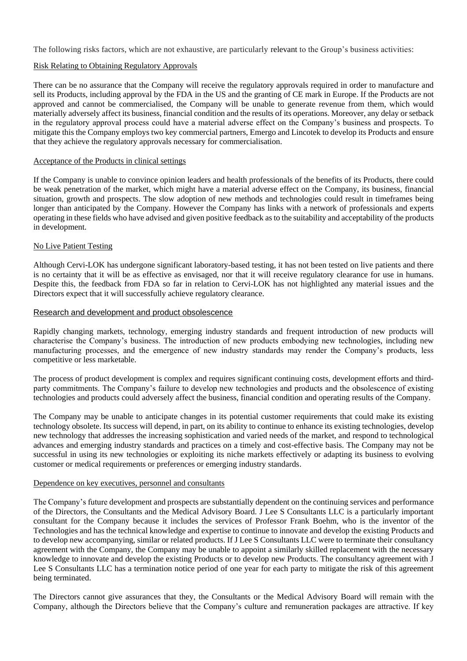The following risks factors, which are not exhaustive, are particularly relevant to the Group's business activities:

## Risk Relating to Obtaining Regulatory Approvals

There can be no assurance that the Company will receive the regulatory approvals required in order to manufacture and sell its Products, including approval by the FDA in the US and the granting of CE mark in Europe. If the Products are not approved and cannot be commercialised, the Company will be unable to generate revenue from them, which would materially adversely affect its business, financial condition and the results of its operations. Moreover, any delay or setback in the regulatory approval process could have a material adverse effect on the Company's business and prospects. To mitigate this the Company employs two key commercial partners, Emergo and Lincotek to develop its Products and ensure that they achieve the regulatory approvals necessary for commercialisation.

#### Acceptance of the Products in clinical settings

If the Company is unable to convince opinion leaders and health professionals of the benefits of its Products, there could be weak penetration of the market, which might have a material adverse effect on the Company, its business, financial situation, growth and prospects. The slow adoption of new methods and technologies could result in timeframes being longer than anticipated by the Company. However the Company has links with a network of professionals and experts operating in these fields who have advised and given positive feedback as to the suitability and acceptability of the products in development.

#### No Live Patient Testing

Although Cervi-LOK has undergone significant laboratory-based testing, it has not been tested on live patients and there is no certainty that it will be as effective as envisaged, nor that it will receive regulatory clearance for use in humans. Despite this, the feedback from FDA so far in relation to Cervi-LOK has not highlighted any material issues and the Directors expect that it will successfully achieve regulatory clearance.

#### Research and development and product obsolescence

Rapidly changing markets, technology, emerging industry standards and frequent introduction of new products will characterise the Company's business. The introduction of new products embodying new technologies, including new manufacturing processes, and the emergence of new industry standards may render the Company's products, less competitive or less marketable.

The process of product development is complex and requires significant continuing costs, development efforts and thirdparty commitments. The Company's failure to develop new technologies and products and the obsolescence of existing technologies and products could adversely affect the business, financial condition and operating results of the Company.

The Company may be unable to anticipate changes in its potential customer requirements that could make its existing technology obsolete. Its success will depend, in part, on its ability to continue to enhance its existing technologies, develop new technology that addresses the increasing sophistication and varied needs of the market, and respond to technological advances and emerging industry standards and practices on a timely and cost-effective basis. The Company may not be successful in using its new technologies or exploiting its niche markets effectively or adapting its business to evolving customer or medical requirements or preferences or emerging industry standards.

#### Dependence on key executives, personnel and consultants

The Company's future development and prospects are substantially dependent on the continuing services and performance of the Directors, the Consultants and the Medical Advisory Board. J Lee S Consultants LLC is a particularly important consultant for the Company because it includes the services of Professor Frank Boehm, who is the inventor of the Technologies and has the technical knowledge and expertise to continue to innovate and develop the existing Products and to develop new accompanying, similar or related products. If J Lee S Consultants LLC were to terminate their consultancy agreement with the Company, the Company may be unable to appoint a similarly skilled replacement with the necessary knowledge to innovate and develop the existing Products or to develop new Products. The consultancy agreement with J Lee S Consultants LLC has a termination notice period of one year for each party to mitigate the risk of this agreement being terminated.

The Directors cannot give assurances that they, the Consultants or the Medical Advisory Board will remain with the Company, although the Directors believe that the Company's culture and remuneration packages are attractive. If key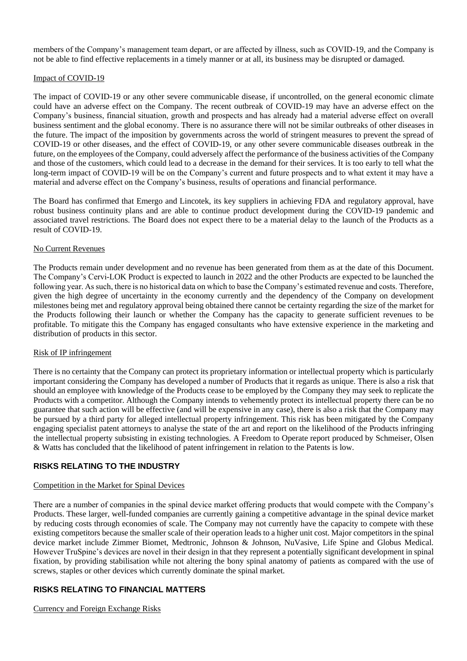members of the Company's management team depart, or are affected by illness, such as COVID-19, and the Company is not be able to find effective replacements in a timely manner or at all, its business may be disrupted or damaged.

#### Impact of COVID-19

The impact of COVID-19 or any other severe communicable disease, if uncontrolled, on the general economic climate could have an adverse effect on the Company. The recent outbreak of COVID-19 may have an adverse effect on the Company's business, financial situation, growth and prospects and has already had a material adverse effect on overall business sentiment and the global economy. There is no assurance there will not be similar outbreaks of other diseases in the future. The impact of the imposition by governments across the world of stringent measures to prevent the spread of COVID-19 or other diseases, and the effect of COVID-19, or any other severe communicable diseases outbreak in the future, on the employees of the Company, could adversely affect the performance of the business activities of the Company and those of the customers, which could lead to a decrease in the demand for their services. It is too early to tell what the long-term impact of COVID-19 will be on the Company's current and future prospects and to what extent it may have a material and adverse effect on the Company's business, results of operations and financial performance.

The Board has confirmed that Emergo and Lincotek, its key suppliers in achieving FDA and regulatory approval, have robust business continuity plans and are able to continue product development during the COVID-19 pandemic and associated travel restrictions. The Board does not expect there to be a material delay to the launch of the Products as a result of COVID-19.

#### No Current Revenues

The Products remain under development and no revenue has been generated from them as at the date of this Document. The Company's Cervi-LOK Product is expected to launch in 2022 and the other Products are expected to be launched the following year. As such, there is no historical data on which to base the Company's estimated revenue and costs. Therefore, given the high degree of uncertainty in the economy currently and the dependency of the Company on development milestones being met and regulatory approval being obtained there cannot be certainty regarding the size of the market for the Products following their launch or whether the Company has the capacity to generate sufficient revenues to be profitable. To mitigate this the Company has engaged consultants who have extensive experience in the marketing and distribution of products in this sector.

#### Risk of IP infringement

There is no certainty that the Company can protect its proprietary information or intellectual property which is particularly important considering the Company has developed a number of Products that it regards as unique. There is also a risk that should an employee with knowledge of the Products cease to be employed by the Company they may seek to replicate the Products with a competitor. Although the Company intends to vehemently protect its intellectual property there can be no guarantee that such action will be effective (and will be expensive in any case), there is also a risk that the Company may be pursued by a third party for alleged intellectual property infringement. This risk has been mitigated by the Company engaging specialist patent attorneys to analyse the state of the art and report on the likelihood of the Products infringing the intellectual property subsisting in existing technologies. A Freedom to Operate report produced by Schmeiser, Olsen & Watts has concluded that the likelihood of patent infringement in relation to the Patents is low.

# **RISKS RELATING TO THE INDUSTRY**

# Competition in the Market for Spinal Devices

There are a number of companies in the spinal device market offering products that would compete with the Company's Products. These larger, well-funded companies are currently gaining a competitive advantage in the spinal device market by reducing costs through economies of scale. The Company may not currently have the capacity to compete with these existing competitors because the smaller scale of their operation leads to a higher unit cost. Major competitors in the spinal device market include Zimmer Biomet, Medtronic, Johnson & Johnson, NuVasive, Life Spine and Globus Medical. However TruSpine's devices are novel in their design in that they represent a potentially significant development in spinal fixation, by providing stabilisation while not altering the bony spinal anatomy of patients as compared with the use of screws, staples or other devices which currently dominate the spinal market.

# **RISKS RELATING TO FINANCIAL MATTERS**

Currency and Foreign Exchange Risks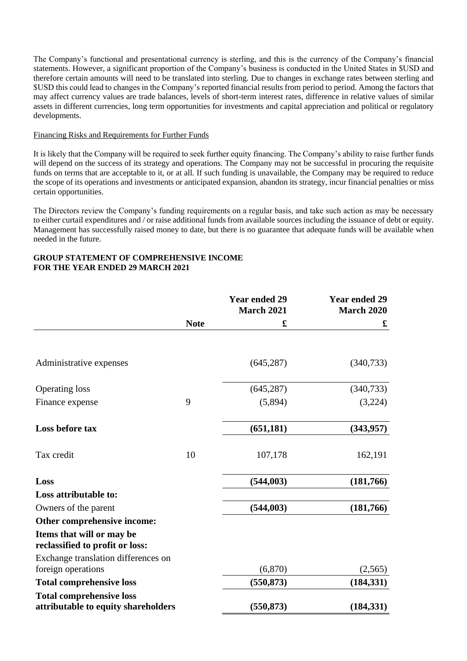The Company's functional and presentational currency is sterling, and this is the currency of the Company's financial statements. However, a significant proportion of the Company's business is conducted in the United States in \$USD and therefore certain amounts will need to be translated into sterling. Due to changes in exchange rates between sterling and \$USD this could lead to changes in the Company's reported financial results from period to period. Among the factors that may affect currency values are trade balances, levels of short-term interest rates, difference in relative values of similar assets in different currencies, long term opportunities for investments and capital appreciation and political or regulatory developments.

## Financing Risks and Requirements for Further Funds

It is likely that the Company will be required to seek further equity financing. The Company's ability to raise further funds will depend on the success of its strategy and operations. The Company may not be successful in procuring the requisite funds on terms that are acceptable to it, or at all. If such funding is unavailable, the Company may be required to reduce the scope of its operations and investments or anticipated expansion, abandon its strategy, incur financial penalties or miss certain opportunities.

The Directors review the Company's funding requirements on a regular basis, and take such action as may be necessary to either curtail expenditures and / or raise additional funds from available sources including the issuance of debt or equity. Management has successfully raised money to date, but there is no guarantee that adequate funds will be available when needed in the future.

# **GROUP STATEMENT OF COMPREHENSIVE INCOME FOR THE YEAR ENDED 29 MARCH 2021**

|                                                              |             | <b>Year ended 29</b><br><b>March 2021</b> | <b>Year ended 29</b><br><b>March 2020</b> |
|--------------------------------------------------------------|-------------|-------------------------------------------|-------------------------------------------|
|                                                              | <b>Note</b> | £                                         | £                                         |
|                                                              |             |                                           |                                           |
| Administrative expenses                                      |             | (645, 287)                                | (340, 733)                                |
| <b>Operating loss</b>                                        |             | (645, 287)                                | (340, 733)                                |
| Finance expense                                              | 9           | (5,894)                                   | (3,224)                                   |
| Loss before tax                                              |             | (651, 181)                                | (343, 957)                                |
| Tax credit                                                   | 10          | 107,178                                   | 162,191                                   |
| Loss                                                         |             | (544, 003)                                | (181,766)                                 |
| Loss attributable to:                                        |             |                                           |                                           |
| Owners of the parent                                         |             | (544, 003)                                | (181,766)                                 |
| Other comprehensive income:                                  |             |                                           |                                           |
| Items that will or may be<br>reclassified to profit or loss: |             |                                           |                                           |
| Exchange translation differences on<br>foreign operations    |             | (6,870)                                   | (2,565)                                   |
| <b>Total comprehensive loss</b>                              |             | (550, 873)                                | (184, 331)                                |
| <b>Total comprehensive loss</b>                              |             |                                           |                                           |
| attributable to equity shareholders                          |             | (550, 873)                                | (184, 331)                                |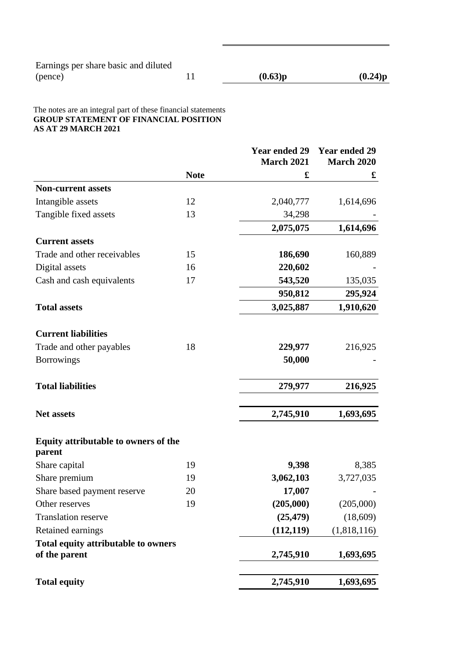#### The notes are an integral part of these financial statements **GROUP STATEMENT OF FINANCIAL POSITION AS AT 29 MARCH 2021**

|                                                             |             | <b>Year ended 29</b><br><b>March 2021</b> | <b>Year ended 29</b><br><b>March 2020</b> |
|-------------------------------------------------------------|-------------|-------------------------------------------|-------------------------------------------|
|                                                             | <b>Note</b> | £                                         | £                                         |
| <b>Non-current assets</b>                                   |             |                                           |                                           |
| Intangible assets                                           | 12          | 2,040,777                                 | 1,614,696                                 |
| Tangible fixed assets                                       | 13          | 34,298                                    |                                           |
|                                                             |             | 2,075,075                                 | 1,614,696                                 |
| <b>Current assets</b>                                       |             |                                           |                                           |
| Trade and other receivables                                 | 15          | 186,690                                   | 160,889                                   |
| Digital assets                                              | 16          | 220,602                                   |                                           |
| Cash and cash equivalents                                   | 17          | 543,520                                   | 135,035                                   |
|                                                             |             | 950,812                                   | 295,924                                   |
| <b>Total assets</b>                                         |             | 3,025,887                                 | 1,910,620                                 |
| <b>Current liabilities</b>                                  |             |                                           |                                           |
| Trade and other payables                                    | 18          | 229,977                                   | 216,925                                   |
| <b>Borrowings</b>                                           |             | 50,000                                    |                                           |
| <b>Total liabilities</b>                                    |             | 279,977                                   | 216,925                                   |
|                                                             |             |                                           |                                           |
| <b>Net assets</b>                                           |             | 2,745,910                                 | 1,693,695                                 |
| Equity attributable to owners of the<br>parent              |             |                                           |                                           |
| Share capital                                               | 19          | 9,398                                     | 8,385                                     |
| Share premium                                               | 19          | 3,062,103                                 | 3,727,035                                 |
| Share based payment reserve                                 | 20          | 17,007                                    |                                           |
| Other reserves                                              | 19          | (205,000)                                 | (205,000)                                 |
| <b>Translation reserve</b>                                  |             | (25, 479)                                 | (18,609)                                  |
| Retained earnings                                           |             | (112, 119)                                | (1,818,116)                               |
| <b>Total equity attributable to owners</b><br>of the parent |             | 2,745,910                                 | 1,693,695                                 |
| <b>Total equity</b>                                         |             | 2,745,910                                 | 1,693,695                                 |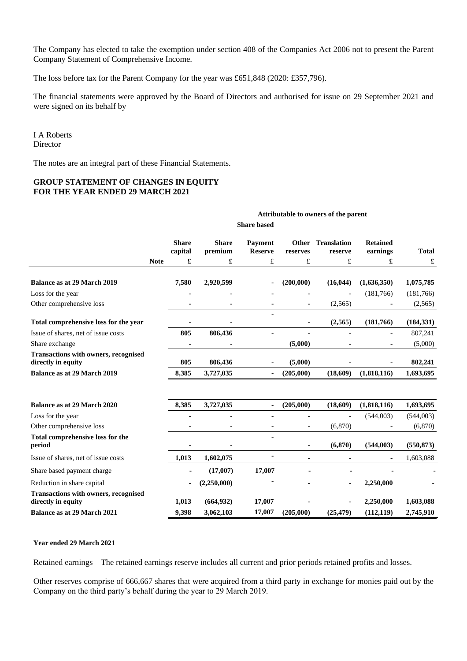The Company has elected to take the exemption under section 408 of the Companies Act 2006 not to present the Parent Company Statement of Comprehensive Income.

The loss before tax for the Parent Company for the year was £651,848 (2020: £357,796).

The financial statements were approved by the Board of Directors and authorised for issue on 29 September 2021 and were signed on its behalf by

**Attributable to owners of the parent**

#### I A Roberts **Director**

The notes are an integral part of these Financial Statements.

## **GROUP STATEMENT OF CHANGES IN EQUITY FOR THE YEAR ENDED 29 MARCH 2021**

| <b>Share</b><br><b>Share</b><br><b>Translation</b><br><b>Retained</b><br>Payment<br>Other<br>capital<br>premium<br><b>Reserve</b><br>earnings<br>reserves<br>reserve<br>£<br>£<br>£<br>£<br>£<br>£<br><b>Note</b><br>(200,000)<br><b>Balance as at 29 March 2019</b><br>7,580<br>2,920,599<br>(16, 044)<br>(1,636,350)<br>$\blacksquare$<br>Loss for the year<br>(181,766)<br>Other comprehensive loss<br>(2,565)<br>۰<br>Total comprehensive loss for the year<br>(2,565)<br>(181,766)<br>805<br>806,436<br>Issue of shares, net of issue costs<br>Share exchange<br>(5,000)<br><b>Transactions with owners, recognised</b><br>directly in equity<br>805<br>(5,000)<br>806,436<br>3,727,035<br>(205,000)<br>(18,609)<br>(1,818,116)<br><b>Balance as at 29 March 2019</b><br>8,385<br>8,385<br>3,727,035<br>(205,000)<br>(18,609)<br>(1,818,116)<br><b>Balance as at 29 March 2020</b><br>ä,<br>(544,003)<br>Loss for the year<br>Other comprehensive loss<br>(6,870)<br>Total comprehensive loss for the<br>(6, 870)<br>period<br>(544,003)<br>Issue of shares, net of issue costs<br>1,013<br>1,602,075<br>÷<br>$\blacksquare$<br>Share based payment charge<br>(17,007)<br>17,007<br>(2,250,000)<br>2,250,000<br>Reduction in share capital<br><b>Transactions with owners, recognised</b><br>directly in equity<br>1,013<br>(664, 932)<br>17,007<br>2,250,000 |                                    | <b>Share based</b> |       |           |        |           |           |            |              |
|--------------------------------------------------------------------------------------------------------------------------------------------------------------------------------------------------------------------------------------------------------------------------------------------------------------------------------------------------------------------------------------------------------------------------------------------------------------------------------------------------------------------------------------------------------------------------------------------------------------------------------------------------------------------------------------------------------------------------------------------------------------------------------------------------------------------------------------------------------------------------------------------------------------------------------------------------------------------------------------------------------------------------------------------------------------------------------------------------------------------------------------------------------------------------------------------------------------------------------------------------------------------------------------------------------------------------------------------------------------------|------------------------------------|--------------------|-------|-----------|--------|-----------|-----------|------------|--------------|
|                                                                                                                                                                                                                                                                                                                                                                                                                                                                                                                                                                                                                                                                                                                                                                                                                                                                                                                                                                                                                                                                                                                                                                                                                                                                                                                                                                    |                                    |                    |       |           |        |           |           |            | <b>Total</b> |
|                                                                                                                                                                                                                                                                                                                                                                                                                                                                                                                                                                                                                                                                                                                                                                                                                                                                                                                                                                                                                                                                                                                                                                                                                                                                                                                                                                    |                                    |                    |       |           |        |           |           |            | £            |
|                                                                                                                                                                                                                                                                                                                                                                                                                                                                                                                                                                                                                                                                                                                                                                                                                                                                                                                                                                                                                                                                                                                                                                                                                                                                                                                                                                    |                                    |                    |       |           |        |           |           |            | 1,075,785    |
|                                                                                                                                                                                                                                                                                                                                                                                                                                                                                                                                                                                                                                                                                                                                                                                                                                                                                                                                                                                                                                                                                                                                                                                                                                                                                                                                                                    |                                    |                    |       |           |        |           |           |            | (181,766)    |
|                                                                                                                                                                                                                                                                                                                                                                                                                                                                                                                                                                                                                                                                                                                                                                                                                                                                                                                                                                                                                                                                                                                                                                                                                                                                                                                                                                    |                                    |                    |       |           |        |           |           |            | (2,565)      |
|                                                                                                                                                                                                                                                                                                                                                                                                                                                                                                                                                                                                                                                                                                                                                                                                                                                                                                                                                                                                                                                                                                                                                                                                                                                                                                                                                                    |                                    |                    |       |           |        |           |           |            | (184, 331)   |
|                                                                                                                                                                                                                                                                                                                                                                                                                                                                                                                                                                                                                                                                                                                                                                                                                                                                                                                                                                                                                                                                                                                                                                                                                                                                                                                                                                    |                                    |                    |       |           |        |           |           |            | 807,241      |
|                                                                                                                                                                                                                                                                                                                                                                                                                                                                                                                                                                                                                                                                                                                                                                                                                                                                                                                                                                                                                                                                                                                                                                                                                                                                                                                                                                    |                                    |                    |       |           |        |           |           |            | (5,000)      |
|                                                                                                                                                                                                                                                                                                                                                                                                                                                                                                                                                                                                                                                                                                                                                                                                                                                                                                                                                                                                                                                                                                                                                                                                                                                                                                                                                                    |                                    |                    |       |           |        |           |           |            | 802,241      |
|                                                                                                                                                                                                                                                                                                                                                                                                                                                                                                                                                                                                                                                                                                                                                                                                                                                                                                                                                                                                                                                                                                                                                                                                                                                                                                                                                                    |                                    |                    |       |           |        |           |           |            | 1,693,695    |
|                                                                                                                                                                                                                                                                                                                                                                                                                                                                                                                                                                                                                                                                                                                                                                                                                                                                                                                                                                                                                                                                                                                                                                                                                                                                                                                                                                    |                                    |                    |       |           |        |           |           |            |              |
|                                                                                                                                                                                                                                                                                                                                                                                                                                                                                                                                                                                                                                                                                                                                                                                                                                                                                                                                                                                                                                                                                                                                                                                                                                                                                                                                                                    |                                    |                    |       |           |        |           |           |            | 1,693,695    |
|                                                                                                                                                                                                                                                                                                                                                                                                                                                                                                                                                                                                                                                                                                                                                                                                                                                                                                                                                                                                                                                                                                                                                                                                                                                                                                                                                                    |                                    |                    |       |           |        |           |           |            | (544,003)    |
|                                                                                                                                                                                                                                                                                                                                                                                                                                                                                                                                                                                                                                                                                                                                                                                                                                                                                                                                                                                                                                                                                                                                                                                                                                                                                                                                                                    |                                    |                    |       |           |        |           |           |            | (6,870)      |
|                                                                                                                                                                                                                                                                                                                                                                                                                                                                                                                                                                                                                                                                                                                                                                                                                                                                                                                                                                                                                                                                                                                                                                                                                                                                                                                                                                    |                                    |                    |       |           |        |           |           |            | (550, 873)   |
|                                                                                                                                                                                                                                                                                                                                                                                                                                                                                                                                                                                                                                                                                                                                                                                                                                                                                                                                                                                                                                                                                                                                                                                                                                                                                                                                                                    |                                    |                    |       |           |        |           |           |            | 1,603,088    |
|                                                                                                                                                                                                                                                                                                                                                                                                                                                                                                                                                                                                                                                                                                                                                                                                                                                                                                                                                                                                                                                                                                                                                                                                                                                                                                                                                                    |                                    |                    |       |           |        |           |           |            |              |
|                                                                                                                                                                                                                                                                                                                                                                                                                                                                                                                                                                                                                                                                                                                                                                                                                                                                                                                                                                                                                                                                                                                                                                                                                                                                                                                                                                    |                                    |                    |       |           |        |           |           |            |              |
|                                                                                                                                                                                                                                                                                                                                                                                                                                                                                                                                                                                                                                                                                                                                                                                                                                                                                                                                                                                                                                                                                                                                                                                                                                                                                                                                                                    |                                    |                    |       |           |        |           |           |            | 1,603,088    |
|                                                                                                                                                                                                                                                                                                                                                                                                                                                                                                                                                                                                                                                                                                                                                                                                                                                                                                                                                                                                                                                                                                                                                                                                                                                                                                                                                                    | <b>Balance as at 29 March 2021</b> |                    | 9,398 | 3,062,103 | 17,007 | (205,000) | (25, 479) | (112, 119) | 2,745,910    |

#### **Year ended 29 March 2021**

Retained earnings – The retained earnings reserve includes all current and prior periods retained profits and losses.

Other reserves comprise of 666,667 shares that were acquired from a third party in exchange for monies paid out by the Company on the third party's behalf during the year to 29 March 2019.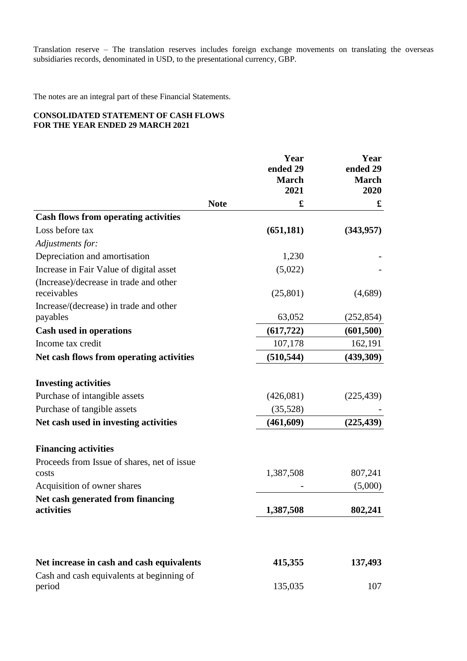Translation reserve – The translation reserves includes foreign exchange movements on translating the overseas subsidiaries records, denominated in USD, to the presentational currency, GBP.

The notes are an integral part of these Financial Statements.

# **CONSOLIDATED STATEMENT OF CASH FLOWS FOR THE YEAR ENDED 29 MARCH 2021**

|                                                       |             | Year<br>ended 29<br><b>March</b><br>2021 | Year<br>ended 29<br><b>March</b><br>2020 |
|-------------------------------------------------------|-------------|------------------------------------------|------------------------------------------|
|                                                       | <b>Note</b> | £                                        | £                                        |
| <b>Cash flows from operating activities</b>           |             |                                          |                                          |
| Loss before tax                                       |             | (651, 181)                               | (343,957)                                |
| Adjustments for:                                      |             |                                          |                                          |
| Depreciation and amortisation                         |             | 1,230                                    |                                          |
| Increase in Fair Value of digital asset               |             | (5,022)                                  |                                          |
| (Increase)/decrease in trade and other<br>receivables |             | (25, 801)                                | (4,689)                                  |
| Increase/(decrease) in trade and other<br>payables    |             | 63,052                                   | (252, 854)                               |
| <b>Cash used in operations</b>                        |             | (617, 722)                               | (601, 500)                               |
| Income tax credit                                     |             | 107,178                                  | 162,191                                  |
| Net cash flows from operating activities              |             | (510, 544)                               | (439,309)                                |
| <b>Investing activities</b>                           |             |                                          |                                          |
| Purchase of intangible assets                         |             | (426,081)                                | (225, 439)                               |
| Purchase of tangible assets                           |             | (35,528)                                 |                                          |
| Net cash used in investing activities                 |             | (461, 609)                               | (225, 439)                               |
| <b>Financing activities</b>                           |             |                                          |                                          |
| Proceeds from Issue of shares, net of issue           |             |                                          |                                          |
| costs                                                 |             | 1,387,508                                | 807,241                                  |
| Acquisition of owner shares                           |             |                                          | (5,000)                                  |
| Net cash generated from financing<br>activities       |             | 1,387,508                                | 802,241                                  |
|                                                       |             |                                          |                                          |
| Net increase in cash and cash equivalents             |             | 415,355                                  | 137,493                                  |
| Cash and cash equivalents at beginning of<br>period   |             | 135,035                                  | 107                                      |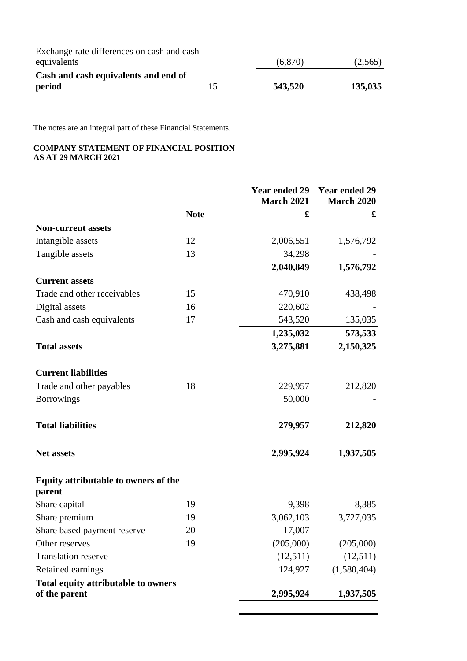| Exchange rate differences on cash and cash |    |         |         |
|--------------------------------------------|----|---------|---------|
| equivalents                                |    | (6,870) | (2,565) |
| Cash and cash equivalents and end of       |    |         |         |
| period                                     | 15 | 543,520 | 135,035 |

The notes are an integral part of these Financial Statements.

# **COMPANY STATEMENT OF FINANCIAL POSITION AS AT 29 MARCH 2021**

|                                                             |             | <b>Year ended 29</b><br><b>March 2021</b> | <b>Year ended 29</b><br><b>March 2020</b> |
|-------------------------------------------------------------|-------------|-------------------------------------------|-------------------------------------------|
|                                                             | <b>Note</b> | £                                         | £                                         |
| <b>Non-current assets</b>                                   |             |                                           |                                           |
| Intangible assets                                           | 12          | 2,006,551                                 | 1,576,792                                 |
| Tangible assets                                             | 13          | 34,298                                    |                                           |
|                                                             |             | 2,040,849                                 | 1,576,792                                 |
| <b>Current assets</b>                                       |             |                                           |                                           |
| Trade and other receivables                                 | 15          | 470,910                                   | 438,498                                   |
| Digital assets                                              | 16          | 220,602                                   |                                           |
| Cash and cash equivalents                                   | 17          | 543,520                                   | 135,035                                   |
|                                                             |             | 1,235,032                                 | 573,533                                   |
| <b>Total assets</b>                                         |             | 3,275,881                                 | 2,150,325                                 |
| <b>Current liabilities</b>                                  |             |                                           |                                           |
| Trade and other payables                                    | 18          | 229,957                                   | 212,820                                   |
| <b>Borrowings</b>                                           |             | 50,000                                    |                                           |
| <b>Total liabilities</b>                                    |             | 279,957                                   | 212,820                                   |
| <b>Net assets</b>                                           |             | 2,995,924                                 | 1,937,505                                 |
| Equity attributable to owners of the<br>parent              |             |                                           |                                           |
| Share capital                                               | 19          | 9,398                                     | 8,385                                     |
| Share premium                                               | 19          | 3,062,103                                 | 3,727,035                                 |
| Share based payment reserve                                 | 20          | 17,007                                    |                                           |
| Other reserves                                              | 19          | (205,000)                                 | (205,000)                                 |
| <b>Translation reserve</b>                                  |             | (12,511)                                  | (12,511)                                  |
| Retained earnings                                           |             | 124,927                                   | (1,580,404)                               |
| <b>Total equity attributable to owners</b><br>of the parent |             | 2,995,924                                 | 1,937,505                                 |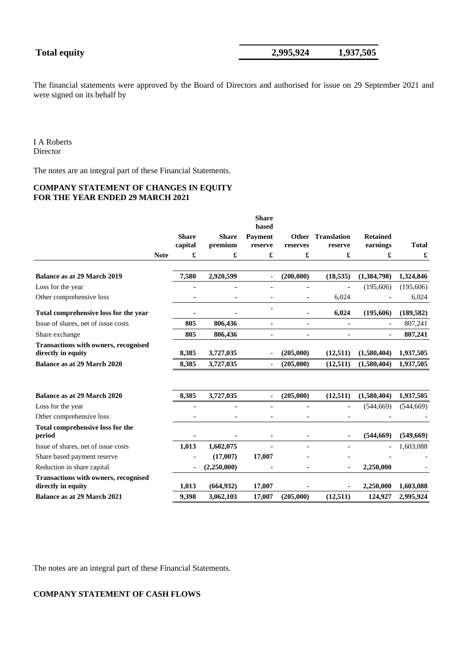The financial statements were approved by the Board of Directors and authorised for issue on 29 September 2021 and were signed on its behalf by

I A Roberts Director

The notes are an integral part of these Financial Statements.

# **COMPANY STATEMENT OF CHANGES IN EQUITY FOR THE YEAR ENDED 29 MARCH 2021**

|                                                                   |             |              |              | <b>Share</b><br>based |                      |                    |                 |              |
|-------------------------------------------------------------------|-------------|--------------|--------------|-----------------------|----------------------|--------------------|-----------------|--------------|
|                                                                   |             | <b>Share</b> | <b>Share</b> | <b>Payment</b>        | <b>Other</b>         | <b>Translation</b> | <b>Retained</b> |              |
|                                                                   |             | capital      | premium      | reserve               | reserves             | reserve            | earnings        | <b>Total</b> |
|                                                                   | <b>Note</b> | £            | £            | £                     | $\pmb{\mathfrak{L}}$ | £                  | £               | £            |
| <b>Balance as at 29 March 2019</b>                                |             | 7,580        | 2,920,599    | $\blacksquare$        | (200,000)            | (18, 535)          | (1,384,798)     | 1,324,846    |
| Loss for the year                                                 |             | ۰            |              |                       | ۰                    |                    | (195, 606)      | (195,606)    |
| Other comprehensive loss                                          |             |              |              |                       | ۰                    | 6,024              |                 | 6,024        |
| Total comprehensive loss for the year                             |             |              |              |                       | ۰                    | 6,024              | (195,606)       | (189, 582)   |
| Issue of shares, net of issue costs                               |             | 805          | 806,436      | $\blacksquare$        | ۰                    | ٠                  | ٠               | 807,241      |
| Share exchange                                                    |             | 805          | 806,436      |                       | ä,                   |                    |                 | 807,241      |
| <b>Transactions with owners, recognised</b><br>directly in equity |             | 8,385        | 3,727,035    |                       | (205,000)            | (12,511)           | (1,580,404)     | 1,937,505    |
| Balance as at 29 March 2020                                       |             | 8,385        | 3,727,035    | $\blacksquare$        | (205,000)            | (12,511)           | (1,580,404)     | 1,937,505    |
| Balance as at 29 March 2020                                       |             | 8,385        | 3,727,035    |                       | (205,000)            | (12,511)           | (1,580,404)     | 1,937,505    |
| Loss for the year                                                 |             |              |              |                       |                      |                    | (544, 669)      | (544, 669)   |
| Other comprehensive loss                                          |             |              |              |                       | $\blacksquare$       |                    |                 |              |
| Total comprehensive loss for the<br>period                        |             |              |              |                       | ٠                    |                    | (544, 669)      | (549, 669)   |
| Issue of shares, net of issue costs                               |             | 1,013        | 1,602,075    |                       |                      |                    |                 | 1,603,088    |
| Share based payment reserve                                       |             |              | (17,007)     | 17,007                |                      |                    |                 |              |
| Reduction in share capital                                        |             |              | (2,250,000)  |                       |                      |                    | 2,250,000       |              |
| <b>Transactions with owners, recognised</b><br>directly in equity |             | 1,013        | (664, 932)   | 17,007                |                      |                    | 2,250,000       | 1,603,088    |
| <b>Balance as at 29 March 2021</b>                                |             | 9,398        | 3,062,103    | 17,007                | (205,000)            | (12,511)           | 124,927         | 2,995,924    |

The notes are an integral part of these Financial Statements.

# **COMPANY STATEMENT OF CASH FLOWS**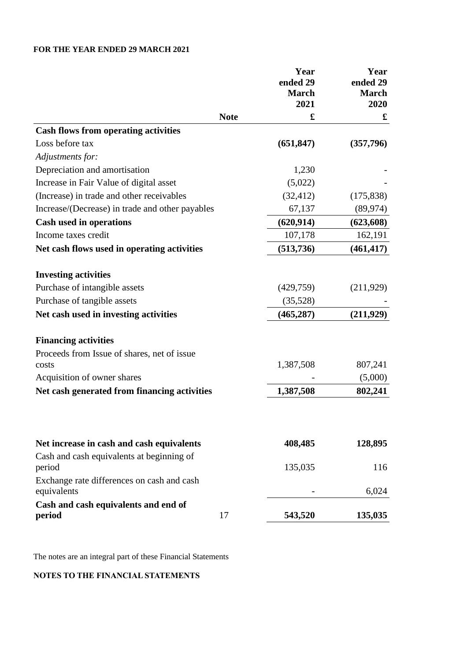# **FOR THE YEAR ENDED 29 MARCH 2021**

|                                                           |             | Year<br>ended 29<br><b>March</b><br>2021 | Year<br>ended 29<br><b>March</b><br>2020 |
|-----------------------------------------------------------|-------------|------------------------------------------|------------------------------------------|
|                                                           | <b>Note</b> | £                                        | $\pmb{\mathfrak{L}}$                     |
| <b>Cash flows from operating activities</b>               |             |                                          |                                          |
| Loss before tax                                           |             | (651, 847)                               | (357,796)                                |
| Adjustments for:                                          |             |                                          |                                          |
| Depreciation and amortisation                             |             | 1,230                                    |                                          |
| Increase in Fair Value of digital asset                   |             | (5,022)                                  |                                          |
| (Increase) in trade and other receivables                 |             | (32, 412)                                | (175, 838)                               |
| Increase/(Decrease) in trade and other payables           |             | 67,137                                   | (89, 974)                                |
| <b>Cash used in operations</b>                            |             | (620, 914)                               | (623, 608)                               |
| Income taxes credit                                       |             | 107,178                                  | 162,191                                  |
| Net cash flows used in operating activities               |             | (513, 736)                               | (461, 417)                               |
| <b>Investing activities</b>                               |             |                                          |                                          |
| Purchase of intangible assets                             |             | (429,759)                                | (211, 929)                               |
| Purchase of tangible assets                               |             | (35,528)                                 |                                          |
| Net cash used in investing activities                     |             | (465, 287)                               | (211,929)                                |
| <b>Financing activities</b>                               |             |                                          |                                          |
| Proceeds from Issue of shares, net of issue               |             |                                          |                                          |
| costs                                                     |             | 1,387,508                                | 807,241                                  |
| Acquisition of owner shares                               |             |                                          | (5,000)                                  |
| Net cash generated from financing activities              |             | 1,387,508                                | 802,241                                  |
|                                                           |             |                                          |                                          |
| Net increase in cash and cash equivalents                 |             | 408,485                                  | 128,895                                  |
| Cash and cash equivalents at beginning of<br>period       |             | 135,035                                  | 116                                      |
| Exchange rate differences on cash and cash<br>equivalents |             |                                          | 6,024                                    |
| Cash and cash equivalents and end of<br>period            | 17          | 543,520                                  | 135,035                                  |

The notes are an integral part of these Financial Statements

# **NOTES TO THE FINANCIAL STATEMENTS**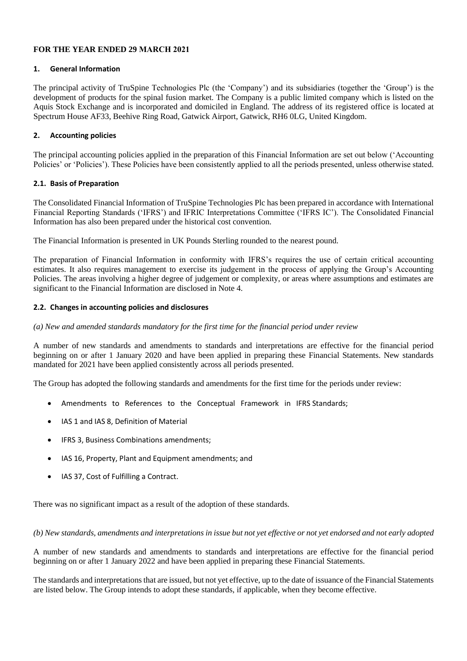# **FOR THE YEAR ENDED 29 MARCH 2021**

# **1. General Information**

The principal activity of TruSpine Technologies Plc (the 'Company') and its subsidiaries (together the 'Group') is the development of products for the spinal fusion market. The Company is a public limited company which is listed on the Aquis Stock Exchange and is incorporated and domiciled in England. The address of its registered office is located at Spectrum House AF33, Beehive Ring Road, Gatwick Airport, Gatwick, RH6 0LG, United Kingdom.

# **2. Accounting policies**

The principal accounting policies applied in the preparation of this Financial Information are set out below ('Accounting Policies' or 'Policies'). These Policies have been consistently applied to all the periods presented, unless otherwise stated.

#### **2.1. Basis of Preparation**

The Consolidated Financial Information of TruSpine Technologies Plc has been prepared in accordance with International Financial Reporting Standards ('IFRS') and IFRIC Interpretations Committee ('IFRS IC'). The Consolidated Financial Information has also been prepared under the historical cost convention.

The Financial Information is presented in UK Pounds Sterling rounded to the nearest pound.

The preparation of Financial Information in conformity with IFRS's requires the use of certain critical accounting estimates. It also requires management to exercise its judgement in the process of applying the Group's Accounting Policies. The areas involving a higher degree of judgement or complexity, or areas where assumptions and estimates are significant to the Financial Information are disclosed in Note 4.

#### **2.2. Changes in accounting policies and disclosures**

#### *(a) New and amended standards mandatory for the first time for the financial period under review*

A number of new standards and amendments to standards and interpretations are effective for the financial period beginning on or after 1 January 2020 and have been applied in preparing these Financial Statements. New standards mandated for 2021 have been applied consistently across all periods presented.

The Group has adopted the following standards and amendments for the first time for the periods under review:

- Amendments to References to the Conceptual Framework in IFRS Standards;
- IAS 1 and IAS 8, Definition of Material
- IFRS 3, Business Combinations amendments;
- IAS 16, Property, Plant and Equipment amendments; and
- IAS 37, Cost of Fulfilling a Contract.

There was no significant impact as a result of the adoption of these standards.

#### *(b) New standards, amendments and interpretations in issue but not yet effective or not yet endorsed and not early adopted*

A number of new standards and amendments to standards and interpretations are effective for the financial period beginning on or after 1 January 2022 and have been applied in preparing these Financial Statements.

The standards and interpretations that are issued, but not yet effective, up to the date of issuance of the Financial Statements are listed below. The Group intends to adopt these standards, if applicable, when they become effective.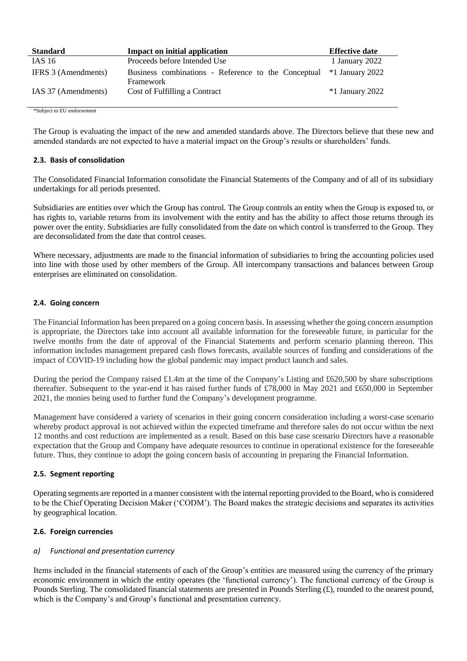| <b>Standard</b>     | <b>Impact on initial application</b>                                             | <b>Effective date</b> |  |  |
|---------------------|----------------------------------------------------------------------------------|-----------------------|--|--|
| IAS 16              | Proceeds before Intended Use                                                     | 1 January 2022        |  |  |
| IFRS 3 (Amendments) | Business combinations - Reference to the Conceptual *1 January 2022<br>Framework |                       |  |  |
| IAS 37 (Amendments) | Cost of Fulfilling a Contract                                                    | $*1$ January 2022     |  |  |

\*Subject to EU endorsement

The Group is evaluating the impact of the new and amended standards above. The Directors believe that these new and amended standards are not expected to have a material impact on the Group's results or shareholders' funds.

#### **2.3. Basis of consolidation**

The Consolidated Financial Information consolidate the Financial Statements of the Company and of all of its subsidiary undertakings for all periods presented.

Subsidiaries are entities over which the Group has control. The Group controls an entity when the Group is exposed to, or has rights to, variable returns from its involvement with the entity and has the ability to affect those returns through its power over the entity. Subsidiaries are fully consolidated from the date on which control is transferred to the Group. They are deconsolidated from the date that control ceases.

Where necessary, adjustments are made to the financial information of subsidiaries to bring the accounting policies used into line with those used by other members of the Group. All intercompany transactions and balances between Group enterprises are eliminated on consolidation.

#### **2.4. Going concern**

The Financial Information has been prepared on a going concern basis. In assessing whether the going concern assumption is appropriate, the Directors take into account all available information for the foreseeable future, in particular for the twelve months from the date of approval of the Financial Statements and perform scenario planning thereon. This information includes management prepared cash flows forecasts, available sources of funding and considerations of the impact of COVID-19 including how the global pandemic may impact product launch and sales.

During the period the Company raised £1.4m at the time of the Company's Listing and £620,500 by share subscriptions thereafter. Subsequent to the year-end it has raised further funds of £78,000 in May 2021 and £650,000 in September 2021, the monies being used to further fund the Company's development programme.

Management have considered a variety of scenarios in their going concern consideration including a worst-case scenario whereby product approval is not achieved within the expected timeframe and therefore sales do not occur within the next 12 months and cost reductions are implemented as a result. Based on this base case scenario Directors have a reasonable expectation that the Group and Company have adequate resources to continue in operational existence for the foreseeable future. Thus, they continue to adopt the going concern basis of accounting in preparing the Financial Information.

#### **2.5. Segment reporting**

Operating segments are reported in a manner consistent with the internal reporting provided to the Board, who is considered to be the Chief Operating Decision Maker ('CODM'). The Board makes the strategic decisions and separates its activities by geographical location.

# **2.6. Foreign currencies**

# *a) Functional and presentation currency*

Items included in the financial statements of each of the Group's entities are measured using the currency of the primary economic environment in which the entity operates (the 'functional currency'). The functional currency of the Group is Pounds Sterling. The consolidated financial statements are presented in Pounds Sterling (£), rounded to the nearest pound, which is the Company's and Group's functional and presentation currency.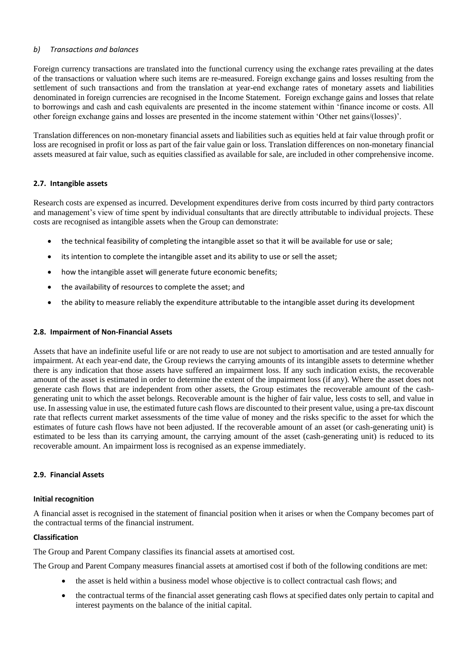# *b) Transactions and balances*

Foreign currency transactions are translated into the functional currency using the exchange rates prevailing at the dates of the transactions or valuation where such items are re-measured. Foreign exchange gains and losses resulting from the settlement of such transactions and from the translation at year-end exchange rates of monetary assets and liabilities denominated in foreign currencies are recognised in the Income Statement. Foreign exchange gains and losses that relate to borrowings and cash and cash equivalents are presented in the income statement within 'finance income or costs. All other foreign exchange gains and losses are presented in the income statement within 'Other net gains/(losses)'.

Translation differences on non-monetary financial assets and liabilities such as equities held at fair value through profit or loss are recognised in profit or loss as part of the fair value gain or loss. Translation differences on non-monetary financial assets measured at fair value, such as equities classified as available for sale, are included in other comprehensive income.

# **2.7. Intangible assets**

Research costs are expensed as incurred. Development expenditures derive from costs incurred by third party contractors and management's view of time spent by individual consultants that are directly attributable to individual projects. These costs are recognised as intangible assets when the Group can demonstrate:

- the technical feasibility of completing the intangible asset so that it will be available for use or sale;
- its intention to complete the intangible asset and its ability to use or sell the asset;
- how the intangible asset will generate future economic benefits;
- the availability of resources to complete the asset; and
- the ability to measure reliably the expenditure attributable to the intangible asset during its development

# **2.8. Impairment of Non-Financial Assets**

Assets that have an indefinite useful life or are not ready to use are not subject to amortisation and are tested annually for impairment. At each year-end date, the Group reviews the carrying amounts of its intangible assets to determine whether there is any indication that those assets have suffered an impairment loss. If any such indication exists, the recoverable amount of the asset is estimated in order to determine the extent of the impairment loss (if any). Where the asset does not generate cash flows that are independent from other assets, the Group estimates the recoverable amount of the cashgenerating unit to which the asset belongs. Recoverable amount is the higher of fair value, less costs to sell, and value in use. In assessing value in use, the estimated future cash flows are discounted to their present value, using a pre-tax discount rate that reflects current market assessments of the time value of money and the risks specific to the asset for which the estimates of future cash flows have not been adjusted. If the recoverable amount of an asset (or cash-generating unit) is estimated to be less than its carrying amount, the carrying amount of the asset (cash-generating unit) is reduced to its recoverable amount. An impairment loss is recognised as an expense immediately.

# **2.9. Financial Assets**

#### **Initial recognition**

A financial asset is recognised in the statement of financial position when it arises or when the Company becomes part of the contractual terms of the financial instrument.

# **Classification**

The Group and Parent Company classifies its financial assets at amortised cost.

The Group and Parent Company measures financial assets at amortised cost if both of the following conditions are met:

- the asset is held within a business model whose objective is to collect contractual cash flows; and
- the contractual terms of the financial asset generating cash flows at specified dates only pertain to capital and interest payments on the balance of the initial capital.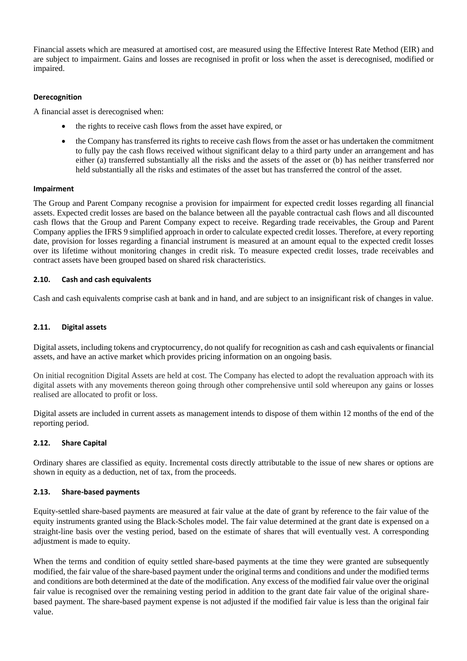Financial assets which are measured at amortised cost, are measured using the Effective Interest Rate Method (EIR) and are subject to impairment. Gains and losses are recognised in profit or loss when the asset is derecognised, modified or impaired.

## **Derecognition**

A financial asset is derecognised when:

- the rights to receive cash flows from the asset have expired, or
- the Company has transferred its rights to receive cash flows from the asset or has undertaken the commitment to fully pay the cash flows received without significant delay to a third party under an arrangement and has either (a) transferred substantially all the risks and the assets of the asset or (b) has neither transferred nor held substantially all the risks and estimates of the asset but has transferred the control of the asset.

#### **Impairment**

The Group and Parent Company recognise a provision for impairment for expected credit losses regarding all financial assets. Expected credit losses are based on the balance between all the payable contractual cash flows and all discounted cash flows that the Group and Parent Company expect to receive. Regarding trade receivables, the Group and Parent Company applies the IFRS 9 simplified approach in order to calculate expected credit losses. Therefore, at every reporting date, provision for losses regarding a financial instrument is measured at an amount equal to the expected credit losses over its lifetime without monitoring changes in credit risk. To measure expected credit losses, trade receivables and contract assets have been grouped based on shared risk characteristics.

#### **2.10. Cash and cash equivalents**

Cash and cash equivalents comprise cash at bank and in hand, and are subject to an insignificant risk of changes in value.

#### **2.11. Digital assets**

Digital assets, including tokens and cryptocurrency, do not qualify for recognition as cash and cash equivalents or financial assets, and have an active market which provides pricing information on an ongoing basis.

On initial recognition Digital Assets are held at cost. The Company has elected to adopt the revaluation approach with its digital assets with any movements thereon going through other comprehensive until sold whereupon any gains or losses realised are allocated to profit or loss.

Digital assets are included in current assets as management intends to dispose of them within 12 months of the end of the reporting period.

#### **2.12. Share Capital**

Ordinary shares are classified as equity. Incremental costs directly attributable to the issue of new shares or options are shown in equity as a deduction, net of tax, from the proceeds.

#### **2.13. Share-based payments**

Equity-settled share-based payments are measured at fair value at the date of grant by reference to the fair value of the equity instruments granted using the Black-Scholes model. The fair value determined at the grant date is expensed on a straight-line basis over the vesting period, based on the estimate of shares that will eventually vest. A corresponding adjustment is made to equity.

When the terms and condition of equity settled share-based payments at the time they were granted are subsequently modified, the fair value of the share-based payment under the original terms and conditions and under the modified terms and conditions are both determined at the date of the modification. Any excess of the modified fair value over the original fair value is recognised over the remaining vesting period in addition to the grant date fair value of the original sharebased payment. The share-based payment expense is not adjusted if the modified fair value is less than the original fair value.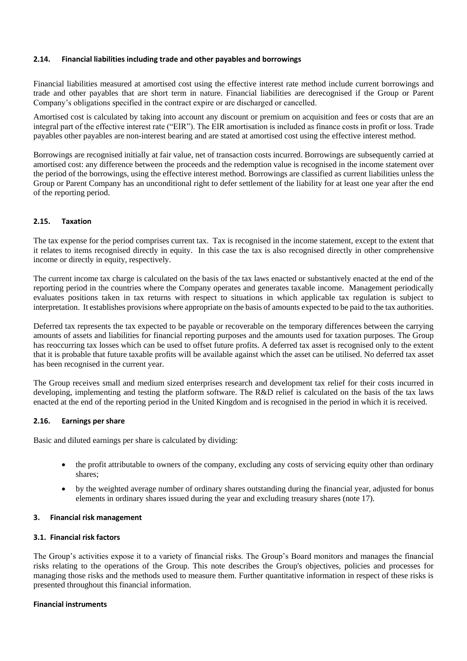#### **2.14. Financial liabilities including trade and other payables and borrowings**

Financial liabilities measured at amortised cost using the effective interest rate method include current borrowings and trade and other payables that are short term in nature. Financial liabilities are derecognised if the Group or Parent Company's obligations specified in the contract expire or are discharged or cancelled.

Amortised cost is calculated by taking into account any discount or premium on acquisition and fees or costs that are an integral part of the effective interest rate ("EIR"). The EIR amortisation is included as finance costs in profit or loss. Trade payables other payables are non-interest bearing and are stated at amortised cost using the effective interest method.

Borrowings are recognised initially at fair value, net of transaction costs incurred. Borrowings are subsequently carried at amortised cost: any difference between the proceeds and the redemption value is recognised in the income statement over the period of the borrowings, using the effective interest method. Borrowings are classified as current liabilities unless the Group or Parent Company has an unconditional right to defer settlement of the liability for at least one year after the end of the reporting period.

#### **2.15. Taxation**

The tax expense for the period comprises current tax. Tax is recognised in the income statement, except to the extent that it relates to items recognised directly in equity. In this case the tax is also recognised directly in other comprehensive income or directly in equity, respectively.

The current income tax charge is calculated on the basis of the tax laws enacted or substantively enacted at the end of the reporting period in the countries where the Company operates and generates taxable income. Management periodically evaluates positions taken in tax returns with respect to situations in which applicable tax regulation is subject to interpretation. It establishes provisions where appropriate on the basis of amounts expected to be paid to the tax authorities.

Deferred tax represents the tax expected to be payable or recoverable on the temporary differences between the carrying amounts of assets and liabilities for financial reporting purposes and the amounts used for taxation purposes. The Group has reoccurring tax losses which can be used to offset future profits. A deferred tax asset is recognised only to the extent that it is probable that future taxable profits will be available against which the asset can be utilised. No deferred tax asset has been recognised in the current year.

The Group receives small and medium sized enterprises research and development tax relief for their costs incurred in developing, implementing and testing the platform software. The R&D relief is calculated on the basis of the tax laws enacted at the end of the reporting period in the United Kingdom and is recognised in the period in which it is received.

#### **2.16. Earnings per share**

Basic and diluted earnings per share is calculated by dividing:

- the profit attributable to owners of the company, excluding any costs of servicing equity other than ordinary shares;
- by the weighted average number of ordinary shares outstanding during the financial year, adjusted for bonus elements in ordinary shares issued during the year and excluding treasury shares (note 17).

#### **3. Financial risk management**

#### **3.1. Financial risk factors**

The Group's activities expose it to a variety of financial risks. The Group's Board monitors and manages the financial risks relating to the operations of the Group. This note describes the Group's objectives, policies and processes for managing those risks and the methods used to measure them. Further quantitative information in respect of these risks is presented throughout this financial information.

#### **Financial instruments**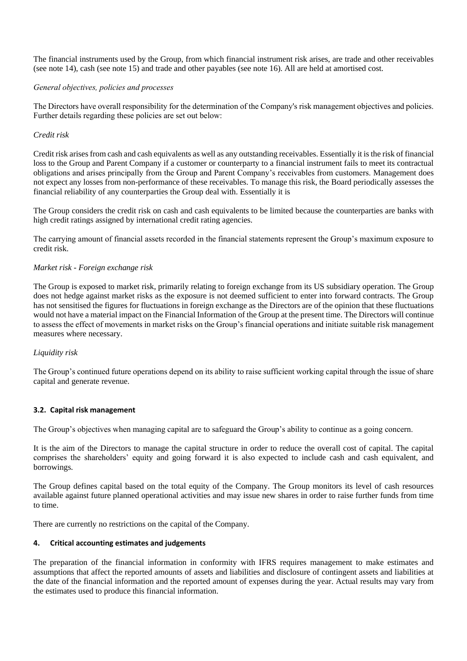The financial instruments used by the Group, from which financial instrument risk arises, are trade and other receivables (see note 14), cash (see note 15) and trade and other payables (see note 16). All are held at amortised cost.

#### *General objectives, policies and processes*

The Directors have overall responsibility for the determination of the Company's risk management objectives and policies. Further details regarding these policies are set out below:

## *Credit risk*

Credit risk arises from cash and cash equivalents as well as any outstanding receivables. Essentially it is the risk of financial loss to the Group and Parent Company if a customer or counterparty to a financial instrument fails to meet its contractual obligations and arises principally from the Group and Parent Company's receivables from customers. Management does not expect any losses from non-performance of these receivables. To manage this risk, the Board periodically assesses the financial reliability of any counterparties the Group deal with. Essentially it is

The Group considers the credit risk on cash and cash equivalents to be limited because the counterparties are banks with high credit ratings assigned by international credit rating agencies.

The carrying amount of financial assets recorded in the financial statements represent the Group's maximum exposure to credit risk.

#### *Market risk - Foreign exchange risk*

The Group is exposed to market risk, primarily relating to foreign exchange from its US subsidiary operation. The Group does not hedge against market risks as the exposure is not deemed sufficient to enter into forward contracts. The Group has not sensitised the figures for fluctuations in foreign exchange as the Directors are of the opinion that these fluctuations would not have a material impact on the Financial Information of the Group at the present time. The Directors will continue to assess the effect of movements in market risks on the Group's financial operations and initiate suitable risk management measures where necessary.

#### *Liquidity risk*

The Group's continued future operations depend on its ability to raise sufficient working capital through the issue of share capital and generate revenue.

#### **3.2. Capital risk management**

The Group's objectives when managing capital are to safeguard the Group's ability to continue as a going concern.

It is the aim of the Directors to manage the capital structure in order to reduce the overall cost of capital. The capital comprises the shareholders' equity and going forward it is also expected to include cash and cash equivalent, and borrowings.

The Group defines capital based on the total equity of the Company. The Group monitors its level of cash resources available against future planned operational activities and may issue new shares in order to raise further funds from time to time.

There are currently no restrictions on the capital of the Company.

#### **4. Critical accounting estimates and judgements**

The preparation of the financial information in conformity with IFRS requires management to make estimates and assumptions that affect the reported amounts of assets and liabilities and disclosure of contingent assets and liabilities at the date of the financial information and the reported amount of expenses during the year. Actual results may vary from the estimates used to produce this financial information.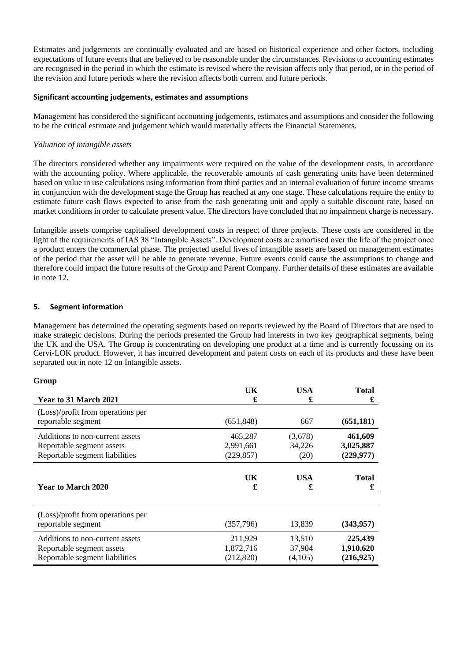Estimates and judgements are continually evaluated and are based on historical experience and other factors, including expectations of future events that are believed to be reasonable under the circumstances. Revisions to accounting estimates are recognised in the period in which the estimate is revised where the revision affects only that period, or in the period of the revision and future periods where the revision affects both current and future periods.

#### **Significant accounting judgements, estimates and assumptions**

Management has considered the significant accounting judgements, estimates and assumptions and consider the following to be the critical estimate and judgement which would materially affects the Financial Statements.

## *Valuation of intangible assets*

The directors considered whether any impairments were required on the value of the development costs, in accordance with the accounting policy. Where applicable, the recoverable amounts of cash generating units have been determined based on value in use calculations using information from third parties and an internal evaluation of future income streams in conjunction with the development stage the Group has reached at any one stage. These calculations require the entity to estimate future cash flows expected to arise from the cash generating unit and apply a suitable discount rate, based on market conditions in order to calculate present value. The directors have concluded that no impairment charge is necessary.

Intangible assets comprise capitalised development costs in respect of three projects. These costs are considered in the light of the requirements of IAS 38 "Intangible Assets". Development costs are amortised over the life of the project once a product enters the commercial phase. The projected useful lives of intangible assets are based on management estimates of the period that the asset will be able to generate revenue. Future events could cause the assumptions to change and therefore could impact the future results of the Group and Parent Company. Further details of these estimates are available in note 12.

#### **5. Segment information**

Management has determined the operating segments based on reports reviewed by the Board of Directors that are used to make strategic decisions. During the periods presented the Group had interests in two key geographical segments, being the UK and the USA. The Group is concentrating on developing one product at a time and is currently focussing on its Cervi-LOK product. However, it has incurred development and patent costs on each of its products and these have been separated out in note 12 on Intangible assets.

# **Group**

| Year to 31 March 2021                                   | UK         | USA        | <b>Total</b> |
|---------------------------------------------------------|------------|------------|--------------|
|                                                         | £          | £          | £            |
| (Loss)/profit from operations per<br>reportable segment | (651, 848) | 667        | (651, 181)   |
| Additions to non-current assets                         | 465,287    | (3,678)    | 461,609      |
| Reportable segment assets                               | 2,991,661  | 34,226     | 3,025,887    |
| Reportable segment liabilities                          | (229, 857) | (20)       | (229, 977)   |
| <b>Year to March 2020</b>                               | UK         | <b>USA</b> | <b>Total</b> |
|                                                         | £          | £          | £            |
| (Loss)/profit from operations per<br>reportable segment | (357,796)  | 13,839     | (343, 957)   |
| Additions to non-current assets                         | 211,929    | 13,510     | 225,439      |
| Reportable segment assets                               | 1,872,716  | 37,904     | 1,910.620    |
| Reportable segment liabilities                          | (212, 820) | (4,105)    | (216, 925)   |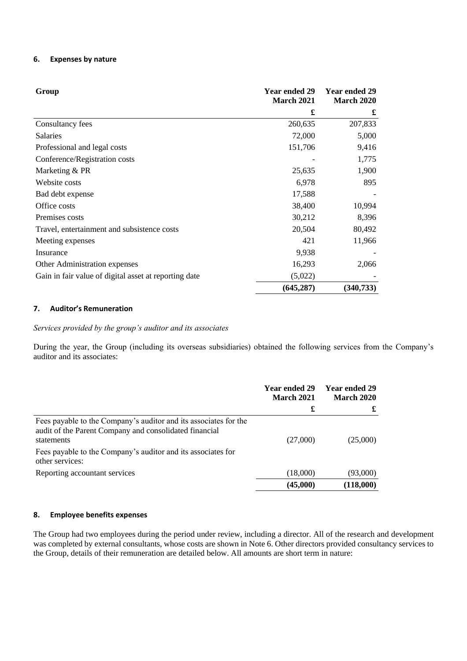#### **6. Expenses by nature**

| Group                                                 | <b>Year ended 29</b><br><b>March 2021</b> | <b>Year ended 29</b><br><b>March 2020</b> |
|-------------------------------------------------------|-------------------------------------------|-------------------------------------------|
|                                                       | £                                         | £                                         |
| Consultancy fees                                      | 260,635                                   | 207,833                                   |
| <b>Salaries</b>                                       | 72,000                                    | 5,000                                     |
| Professional and legal costs                          | 151,706                                   | 9,416                                     |
| Conference/Registration costs                         |                                           | 1,775                                     |
| Marketing & PR                                        | 25,635                                    | 1,900                                     |
| Website costs                                         | 6,978                                     | 895                                       |
| Bad debt expense                                      | 17,588                                    |                                           |
| Office costs                                          | 38,400                                    | 10,994                                    |
| Premises costs                                        | 30,212                                    | 8,396                                     |
| Travel, entertainment and subsistence costs           | 20,504                                    | 80,492                                    |
| Meeting expenses                                      | 421                                       | 11,966                                    |
| Insurance                                             | 9,938                                     |                                           |
| Other Administration expenses                         | 16,293                                    | 2,066                                     |
| Gain in fair value of digital asset at reporting date | (5,022)                                   |                                           |
|                                                       | (645, 287)                                | (340, 733)                                |

#### **7. Auditor's Remuneration**

*Services provided by the group's auditor and its associates*

During the year, the Group (including its overseas subsidiaries) obtained the following services from the Company's auditor and its associates:

|                                                                                                                                                                                                          | <b>Year ended 29</b><br><b>March 2021</b> | Year ended 29<br><b>March 2020</b> |
|----------------------------------------------------------------------------------------------------------------------------------------------------------------------------------------------------------|-------------------------------------------|------------------------------------|
|                                                                                                                                                                                                          | £                                         | £                                  |
| Fees payable to the Company's auditor and its associates for the<br>audit of the Parent Company and consolidated financial<br>statements<br>Fees payable to the Company's auditor and its associates for | (27,000)                                  | (25,000)                           |
| other services:                                                                                                                                                                                          |                                           |                                    |
| Reporting accountant services                                                                                                                                                                            | (18,000)                                  | (93,000)                           |
|                                                                                                                                                                                                          | (45,000)                                  | (118,000)                          |

# **8. Employee benefits expenses**

The Group had two employees during the period under review, including a director. All of the research and development was completed by external consultants, whose costs are shown in Note 6. Other directors provided consultancy services to the Group, details of their remuneration are detailed below. All amounts are short term in nature: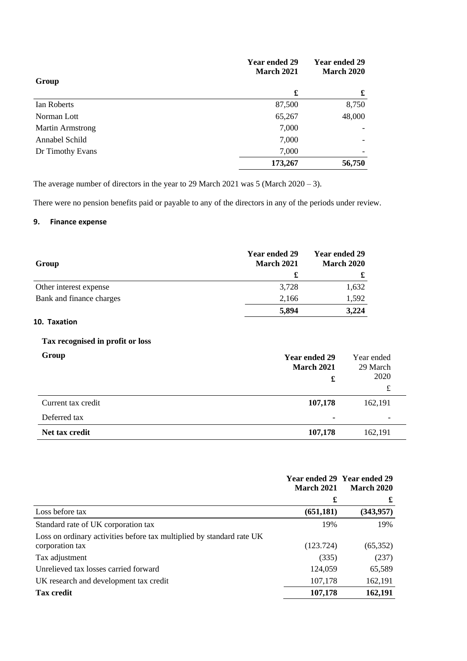|                         | Year ended 29<br><b>March 2021</b> | <b>Year ended 29</b><br><b>March 2020</b> |
|-------------------------|------------------------------------|-------------------------------------------|
| Group                   | £                                  | £                                         |
|                         |                                    |                                           |
| Ian Roberts             | 87,500                             | 8,750                                     |
| Norman Lott             | 65,267                             | 48,000                                    |
| <b>Martin Armstrong</b> | 7,000                              |                                           |
| Annabel Schild          | 7,000                              |                                           |
| Dr Timothy Evans        | 7,000                              |                                           |
|                         | 173,267                            | 56,750                                    |

The average number of directors in the year to 29 March 2021 was 5 (March 2020 – 3).

There were no pension benefits paid or payable to any of the directors in any of the periods under review.

# **9. Finance expense**

| Group                    | <b>Year ended 29</b><br><b>March 2021</b><br>£ | <b>Year ended 29</b><br><b>March 2020</b> |
|--------------------------|------------------------------------------------|-------------------------------------------|
| Other interest expense   | 3,728                                          | 1,632                                     |
| Bank and finance charges | 2,166                                          | 1,592                                     |
|                          | 5,894                                          | 3,224                                     |

# **10. Taxation**

# **Tax recognised in profit or loss**

| Group              | Year ended 29<br><b>March 2021</b><br>£ | Year ended<br>29 March<br>2020<br>£ |
|--------------------|-----------------------------------------|-------------------------------------|
| Current tax credit | 107,178                                 | 162,191                             |
| Deferred tax       | $\blacksquare$                          | $\overline{\phantom{a}}$            |
| Net tax credit     | 107,178                                 | 162,191                             |

|                                                                       | <b>March 2021</b> | Year ended 29 Year ended 29<br><b>March 2020</b> |
|-----------------------------------------------------------------------|-------------------|--------------------------------------------------|
|                                                                       | £                 | £                                                |
| Loss before tax                                                       | (651, 181)        | (343, 957)                                       |
| Standard rate of UK corporation tax                                   | 19%               | 19%                                              |
| Loss on ordinary activities before tax multiplied by standard rate UK |                   |                                                  |
| corporation tax                                                       | (123.724)         | (65,352)                                         |
| Tax adjustment                                                        | (335)             | (237)                                            |
| Unrelieved tax losses carried forward                                 | 124,059           | 65,589                                           |
| UK research and development tax credit                                | 107,178           | 162,191                                          |
| <b>Tax credit</b>                                                     | 107,178           | 162,191                                          |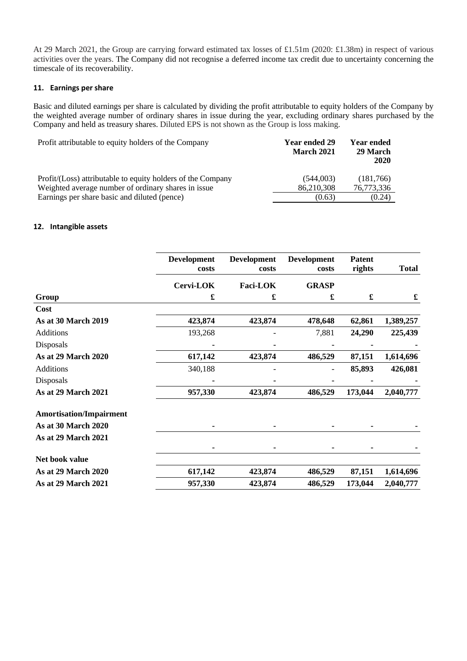At 29 March 2021, the Group are carrying forward estimated tax losses of £1.51m (2020: £1.38m) in respect of various activities over the years. The Company did not recognise a deferred income tax credit due to uncertainty concerning the timescale of its recoverability.

#### **11. Earnings per share**

Basic and diluted earnings per share is calculated by dividing the profit attributable to equity holders of the Company by the weighted average number of ordinary shares in issue during the year, excluding ordinary shares purchased by the Company and held as treasury shares. Diluted EPS is not shown as the Group is loss making.

| Profit attributable to equity holders of the Company        | <b>Year ended 29</b><br><b>March 2021</b> | Year ended<br>29 March<br>2020 |
|-------------------------------------------------------------|-------------------------------------------|--------------------------------|
| Profit/(Loss) attributable to equity holders of the Company | (544,003)                                 | (181,766)                      |
| Weighted average number of ordinary shares in issue         | 86.210.308                                | 76,773,336                     |
| Earnings per share basic and diluted (pence)                | (0.63)                                    | (0.24)                         |

#### **12. Intangible assets**

|                                | <b>Development</b><br>costs | <b>Development</b><br>costs | <b>Development</b><br>costs | <b>Patent</b><br>rights | <b>Total</b> |
|--------------------------------|-----------------------------|-----------------------------|-----------------------------|-------------------------|--------------|
|                                | Cervi-LOK                   | Faci-LOK                    | <b>GRASP</b>                |                         |              |
| Group                          | £                           | £                           | £                           | $\pmb{\mathfrak{L}}$    | £            |
| Cost                           |                             |                             |                             |                         |              |
| <b>As at 30 March 2019</b>     | 423,874                     | 423,874                     | 478,648                     | 62,861                  | 1,389,257    |
| Additions                      | 193,268                     |                             | 7,881                       | 24,290                  | 225,439      |
| Disposals                      |                             |                             |                             |                         |              |
| As at 29 March 2020            | 617,142                     | 423,874                     | 486,529                     | 87,151                  | 1,614,696    |
| Additions                      | 340,188                     |                             |                             | 85,893                  | 426,081      |
| Disposals                      |                             |                             |                             |                         |              |
| As at 29 March 2021            | 957,330                     | 423,874                     | 486,529                     | 173,044                 | 2,040,777    |
| <b>Amortisation/Impairment</b> |                             |                             |                             |                         |              |
| <b>As at 30 March 2020</b>     |                             |                             |                             |                         |              |
| <b>As at 29 March 2021</b>     |                             |                             |                             |                         |              |
|                                |                             | $\blacksquare$              |                             |                         |              |
| Net book value                 |                             |                             |                             |                         |              |
| <b>As at 29 March 2020</b>     | 617,142                     | 423,874                     | 486,529                     | 87,151                  | 1,614,696    |
| As at 29 March 2021            | 957,330                     | 423,874                     | 486,529                     | 173,044                 | 2,040,777    |
|                                |                             |                             |                             |                         |              |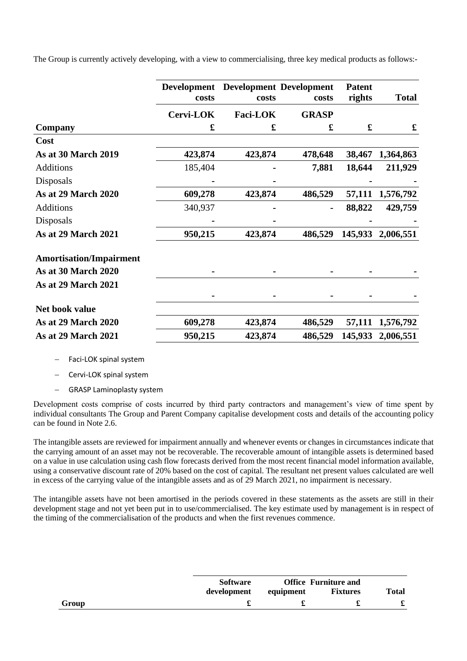The Group is currently actively developing, with a view to commercialising, three key medical products as follows:-

|                                | <b>Development</b><br>costs | costs           | <b>Development Development</b><br>costs | <b>Patent</b><br>rights | <b>Total</b> |
|--------------------------------|-----------------------------|-----------------|-----------------------------------------|-------------------------|--------------|
|                                | Cervi-LOK                   | <b>Faci-LOK</b> | <b>GRASP</b>                            |                         |              |
| Company                        | £                           | £               | £                                       | £                       | £            |
| Cost                           |                             |                 |                                         |                         |              |
| <b>As at 30 March 2019</b>     | 423,874                     | 423,874         | 478,648                                 | 38,467                  | 1,364,863    |
| <b>Additions</b>               | 185,404                     |                 | 7,881                                   | 18,644                  | 211,929      |
| Disposals                      |                             |                 |                                         |                         |              |
| <b>As at 29 March 2020</b>     | 609,278                     | 423,874         | 486,529                                 | 57,111                  | 1,576,792    |
| <b>Additions</b>               | 340,937                     |                 |                                         | 88,822                  | 429,759      |
| Disposals                      |                             |                 |                                         |                         |              |
| <b>As at 29 March 2021</b>     | 950,215                     | 423,874         | 486,529                                 | 145,933                 | 2,006,551    |
| <b>Amortisation/Impairment</b> |                             |                 |                                         |                         |              |
| <b>As at 30 March 2020</b>     |                             |                 |                                         |                         |              |
| <b>As at 29 March 2021</b>     |                             |                 |                                         |                         |              |
|                                |                             |                 |                                         |                         |              |
| Net book value                 |                             |                 |                                         |                         |              |
| <b>As at 29 March 2020</b>     | 609,278                     | 423,874         | 486,529                                 | 57,111                  | 1,576,792    |
| <b>As at 29 March 2021</b>     | 950,215                     | 423,874         | 486,529                                 | 145,933                 | 2,006,551    |

− Faci-LOK spinal system

− Cervi-LOK spinal system

− GRASP Laminoplasty system

Development costs comprise of costs incurred by third party contractors and management's view of time spent by individual consultants The Group and Parent Company capitalise development costs and details of the accounting policy can be found in Note 2.6.

The intangible assets are reviewed for impairment annually and whenever events or changes in circumstances indicate that the carrying amount of an asset may not be recoverable. The recoverable amount of intangible assets is determined based on a value in use calculation using cash flow forecasts derived from the most recent financial model information available, using a conservative discount rate of 20% based on the cost of capital. The resultant net present values calculated are well in excess of the carrying value of the intangible assets and as of 29 March 2021, no impairment is necessary.

The intangible assets have not been amortised in the periods covered in these statements as the assets are still in their development stage and not yet been put in to use/commercialised. The key estimate used by management is in respect of the timing of the commercialisation of the products and when the first revenues commence.

|       | <b>Software</b> | <b>Office Furniture and</b> |                 |       |
|-------|-----------------|-----------------------------|-----------------|-------|
|       | development     | equipment                   | <b>Fixtures</b> | Total |
| Group |                 |                             |                 |       |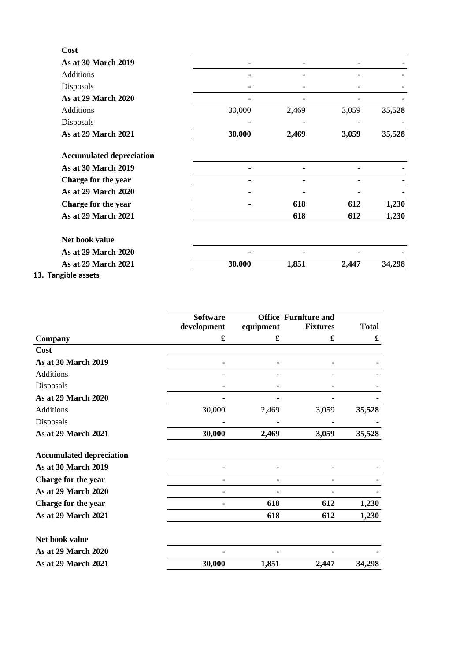| Cost                            |        |       |       |        |
|---------------------------------|--------|-------|-------|--------|
| <b>As at 30 March 2019</b>      |        |       |       |        |
| Additions                       |        |       |       |        |
| Disposals                       |        |       |       |        |
| As at 29 March 2020             |        |       |       |        |
| Additions                       | 30,000 | 2,469 | 3,059 | 35,528 |
| Disposals                       |        |       |       |        |
| <b>As at 29 March 2021</b>      | 30,000 | 2,469 | 3,059 | 35,528 |
| <b>Accumulated depreciation</b> |        |       |       |        |
| <b>As at 30 March 2019</b>      |        |       |       |        |
| Charge for the year             |        |       |       |        |
| As at 29 March 2020             |        |       |       |        |
| Charge for the year             |        | 618   | 612   | 1,230  |
| <b>As at 29 March 2021</b>      |        | 618   | 612   | 1,230  |
| Net book value                  |        |       |       |        |
| <b>As at 29 March 2020</b>      |        |       |       |        |
| As at 29 March 2021             | 30,000 | 1,851 | 2,447 | 34,298 |
|                                 |        |       |       |        |

**13. Tangible assets**

|                                 | <b>Software</b><br>development | equipment | <b>Office Furniture and</b><br><b>Fixtures</b> | <b>Total</b> |
|---------------------------------|--------------------------------|-----------|------------------------------------------------|--------------|
| Company                         | £                              | £         | £                                              | £            |
| Cost                            |                                |           |                                                |              |
| <b>As at 30 March 2019</b>      |                                |           |                                                |              |
| <b>Additions</b>                |                                |           |                                                |              |
| Disposals                       |                                |           |                                                |              |
| <b>As at 29 March 2020</b>      |                                |           |                                                |              |
| <b>Additions</b>                | 30,000                         | 2,469     | 3,059                                          | 35,528       |
| Disposals                       |                                |           |                                                |              |
| As at 29 March 2021             | 30,000                         | 2,469     | 3,059                                          | 35,528       |
| <b>Accumulated depreciation</b> |                                |           |                                                |              |
| As at 30 March 2019             |                                |           |                                                |              |
| Charge for the year             |                                |           |                                                |              |
| <b>As at 29 March 2020</b>      |                                |           |                                                |              |
| Charge for the year             |                                | 618       | 612                                            | 1,230        |
| As at 29 March 2021             |                                | 618       | 612                                            | 1,230        |
| Net book value                  |                                |           |                                                |              |
| As at 29 March 2020             |                                |           |                                                |              |
| <b>As at 29 March 2021</b>      | 30,000                         | 1,851     | 2,447                                          | 34,298       |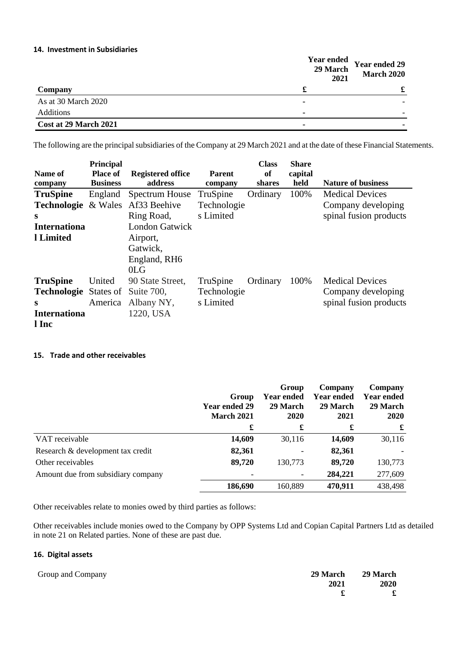# **14. Investment in Subsidiaries**

|                       | <b>Year ended</b><br>29 March<br>2021 | Year ended 29<br><b>March 2020</b> |
|-----------------------|---------------------------------------|------------------------------------|
| Company               |                                       | £                                  |
| As at 30 March 2020   |                                       |                                    |
| Additions             |                                       |                                    |
| Cost at 29 March 2021 |                                       |                                    |

The following are the principal subsidiaries of the Company at 29 March 2021 and at the date of these Financial Statements.

|                              | Principal       |                          |               | <b>Class</b> | <b>Share</b> |                           |
|------------------------------|-----------------|--------------------------|---------------|--------------|--------------|---------------------------|
| Name of                      | <b>Place of</b> | <b>Registered office</b> | <b>Parent</b> | of           | capital      |                           |
| company                      | <b>Business</b> | address                  | company       | shares       | held         | <b>Nature of business</b> |
| <b>TruSpine</b>              | England         | Spectrum House           | TruSpine      | Ordinary     | 100%         | <b>Medical Devices</b>    |
| Technologie                  | & Wales         | Af33 Beehive             | Technologie   |              |              | Company developing        |
| S                            |                 | Ring Road,               | s Limited     |              |              | spinal fusion products    |
| <b>Internationa</b>          |                 | <b>London Gatwick</b>    |               |              |              |                           |
| 1 Limited                    |                 | Airport,                 |               |              |              |                           |
|                              |                 | Gatwick,                 |               |              |              |                           |
|                              |                 | England, RH6             |               |              |              |                           |
|                              |                 | 0 <sub>LG</sub>          |               |              |              |                           |
| <b>TruSpine</b>              | United          | 90 State Street,         | TruSpine      | Ordinary     | 100%         | <b>Medical Devices</b>    |
| <b>Technologie</b> States of |                 | Suite 700,               | Technologie   |              |              | Company developing        |
| S                            | America         | Albany NY,               | s Limited     |              |              | spinal fusion products    |
| <b>Internationa</b>          |                 | 1220, USA                |               |              |              |                           |
| l Inc                        |                 |                          |               |              |              |                           |

# **15. Trade and other receivables**

|                                    | Group<br>Year ended 29<br><b>March 2021</b> | Group<br><b>Year ended</b><br>29 March<br>2020 | Company<br>Year ended<br>29 March<br>2021 | Company<br><b>Year ended</b><br>29 March<br>2020 |
|------------------------------------|---------------------------------------------|------------------------------------------------|-------------------------------------------|--------------------------------------------------|
|                                    | £                                           | £                                              | £                                         | £                                                |
| VAT receivable                     | 14,609                                      | 30,116                                         | 14,609                                    | 30,116                                           |
| Research & development tax credit  | 82,361                                      |                                                | 82,361                                    |                                                  |
| Other receivables                  | 89,720                                      | 130,773                                        | 89,720                                    | 130,773                                          |
| Amount due from subsidiary company |                                             |                                                | 284,221                                   | 277,609                                          |
|                                    | 186,690                                     | 160,889                                        | 470,911                                   | 438,498                                          |

Other receivables relate to monies owed by third parties as follows:

Other receivables include monies owed to the Company by OPP Systems Ltd and Copian Capital Partners Ltd as detailed in note 21 on Related parties. None of these are past due.

# **16. Digital assets**

| Group and Company |      | 29 March 29 March |
|-------------------|------|-------------------|
|                   | 2021 | <b>2020</b>       |
|                   |      | $\mathbf{f}$      |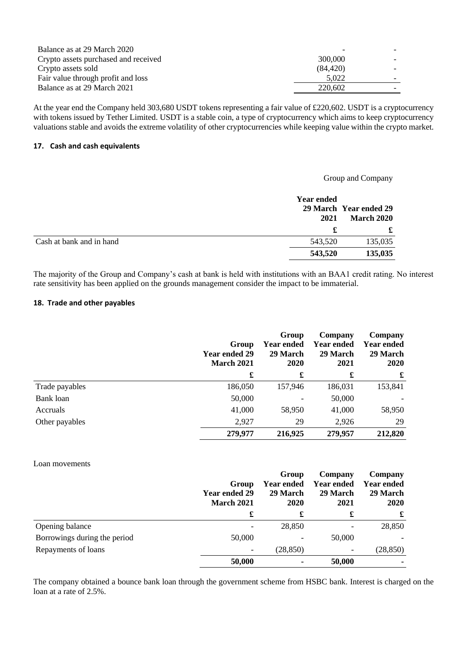| Balance as at 29 March 2020          |          |  |
|--------------------------------------|----------|--|
| Crypto assets purchased and received | 300,000  |  |
| Crypto assets sold                   | (84.420) |  |
| Fair value through profit and loss   | 5.022    |  |
| Balance as at 29 March 2021          | 220.602  |  |

At the year end the Company held 303,680 USDT tokens representing a fair value of £220,602. USDT is a cryptocurrency with tokens issued by Tether Limited. USDT is a stable coin, a type of cryptocurrency which aims to keep cryptocurrency valuations stable and avoids the extreme volatility of other cryptocurrencies while keeping value within the crypto market.

## **17. Cash and cash equivalents**

# Group and Company **Year ended 29 March Year ended 29 2021 March 2020 £ £** Cash at bank and in hand 543,520 135,035 **543,520 135,035**

The majority of the Group and Company's cash at bank is held with institutions with an BAA1 credit rating. No interest rate sensitivity has been applied on the grounds management consider the impact to be immaterial.

#### **18. Trade and other payables**

|                | Group<br><b>Year ended 29</b><br><b>March 2021</b> | Group<br><b>Year ended</b><br>29 March<br>2020 | Company<br><b>Year ended</b><br>29 March<br>2021 | Company<br><b>Year ended</b><br>29 March<br>2020 |
|----------------|----------------------------------------------------|------------------------------------------------|--------------------------------------------------|--------------------------------------------------|
|                | £                                                  | £                                              | £                                                | £                                                |
| Trade payables | 186,050                                            | 157,946                                        | 186,031                                          | 153,841                                          |
| Bank loan      | 50,000                                             |                                                | 50,000                                           |                                                  |
| Accruals       | 41,000                                             | 58,950                                         | 41,000                                           | 58,950                                           |
| Other payables | 2,927                                              | 29                                             | 2,926                                            | 29                                               |
|                | 279,977                                            | 216,925                                        | 279,957                                          | 212,820                                          |

## Loan movements

|                              | Group<br><b>Year ended 29</b><br><b>March 2021</b> | Group<br><b>Year ended</b><br>29 March<br><b>2020</b> | Company<br>Year ended<br>29 March<br>2021 | Company<br><b>Year ended</b><br>29 March<br><b>2020</b> |
|------------------------------|----------------------------------------------------|-------------------------------------------------------|-------------------------------------------|---------------------------------------------------------|
|                              |                                                    | £                                                     | £                                         | £                                                       |
| Opening balance              |                                                    | 28,850                                                |                                           | 28,850                                                  |
| Borrowings during the period | 50,000                                             |                                                       | 50,000                                    |                                                         |
| Repayments of loans          |                                                    | (28, 850)                                             | -                                         | (28, 850)                                               |
|                              | 50,000                                             |                                                       | 50,000                                    |                                                         |

The company obtained a bounce bank loan through the government scheme from HSBC bank. Interest is charged on the loan at a rate of 2.5%.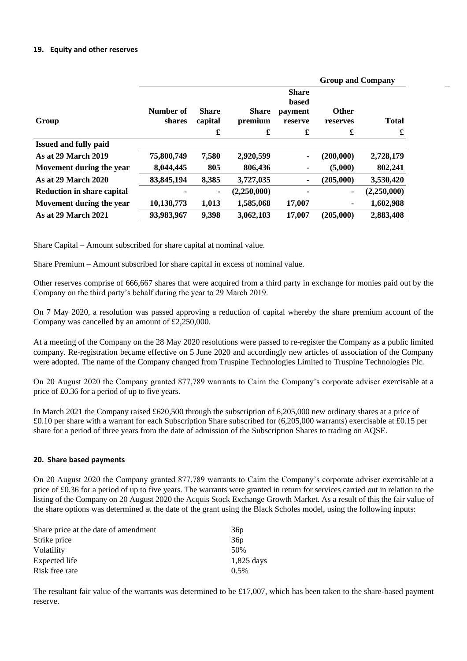#### **19. Equity and other reserves**

|                                   |                     |                         |                         |                                                    | <b>Group and Company</b> |              |
|-----------------------------------|---------------------|-------------------------|-------------------------|----------------------------------------------------|--------------------------|--------------|
| Group                             | Number of<br>shares | <b>Share</b><br>capital | <b>Share</b><br>premium | <b>Share</b><br><b>based</b><br>payment<br>reserve | <b>Other</b><br>reserves | <b>Total</b> |
|                                   |                     | £                       | £                       | £                                                  | $\pmb{\mathbf{f}}$       | £            |
| <b>Issued and fully paid</b>      |                     |                         |                         |                                                    |                          |              |
| <b>As at 29 March 2019</b>        | 75,800,749          | 7,580                   | 2,920,599               | $\blacksquare$                                     | (200,000)                | 2,728,179    |
| Movement during the year          | 8,044,445           | 805                     | 806,436                 |                                                    | (5,000)                  | 802,241      |
| <b>As at 29 March 2020</b>        | 83, 845, 194        | 8,385                   | 3,727,035               |                                                    | (205,000)                | 3,530,420    |
| <b>Reduction in share capital</b> |                     | $\blacksquare$          | (2,250,000)             |                                                    | ٠                        | (2,250,000)  |
| Movement during the year          | 10,138,773          | 1,013                   | 1,585,068               | 17,007                                             |                          | 1,602,988    |
| <b>As at 29 March 2021</b>        | 93,983,967          | 9,398                   | 3,062,103               | 17,007                                             | (205,000)                | 2,883,408    |
|                                   |                     |                         |                         |                                                    |                          |              |

Share Capital – Amount subscribed for share capital at nominal value.

Share Premium – Amount subscribed for share capital in excess of nominal value.

Other reserves comprise of 666,667 shares that were acquired from a third party in exchange for monies paid out by the Company on the third party's behalf during the year to 29 March 2019.

On 7 May 2020, a resolution was passed approving a reduction of capital whereby the share premium account of the Company was cancelled by an amount of £2,250,000.

At a meeting of the Company on the 28 May 2020 resolutions were passed to re-register the Company as a public limited company. Re-registration became effective on 5 June 2020 and accordingly new articles of association of the Company were adopted. The name of the Company changed from Truspine Technologies Limited to Truspine Technologies Plc.

On 20 August 2020 the Company granted 877,789 warrants to Cairn the Company's corporate adviser exercisable at a price of £0.36 for a period of up to five years.

In March 2021 the Company raised £620,500 through the subscription of 6,205,000 new ordinary shares at a price of £0.10 per share with a warrant for each Subscription Share subscribed for (6,205,000 warrants) exercisable at £0.15 per share for a period of three years from the date of admission of the Subscription Shares to trading on AQSE.

#### **20. Share based payments**

On 20 August 2020 the Company granted 877,789 warrants to Cairn the Company's corporate adviser exercisable at a price of £0.36 for a period of up to five years. The warrants were granted in return for services carried out in relation to the listing of the Company on 20 August 2020 the Acquis Stock Exchange Growth Market. As a result of this the fair value of the share options was determined at the date of the grant using the Black Scholes model, using the following inputs:

| 36 <sub>p</sub> |
|-----------------|
| 36 <sub>p</sub> |
| 50%             |
| $1,825$ days    |
| $0.5\%$         |
|                 |

The resultant fair value of the warrants was determined to be  $£17,007$ , which has been taken to the share-based payment reserve.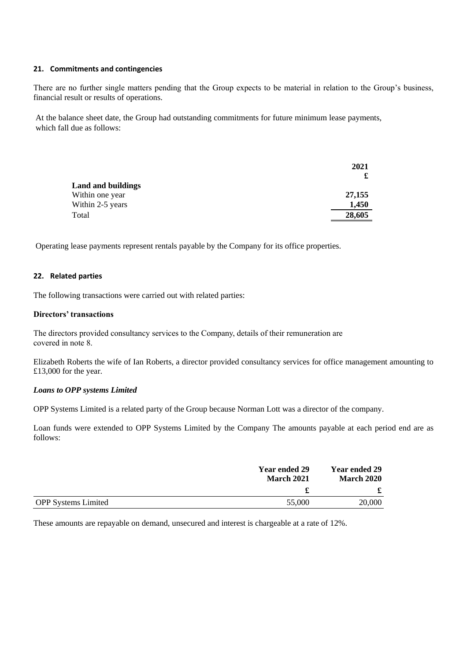#### **21. Commitments and contingencies**

There are no further single matters pending that the Group expects to be material in relation to the Group's business, financial result or results of operations.

At the balance sheet date, the Group had outstanding commitments for future minimum lease payments, which fall due as follows:

|                    | 2021   |
|--------------------|--------|
|                    |        |
| Land and buildings |        |
| Within one year    | 27,155 |
| Within 2-5 years   | 1,450  |
| Total              | 28,605 |
|                    |        |

Operating lease payments represent rentals payable by the Company for its office properties.

#### **22. Related parties**

The following transactions were carried out with related parties:

## **Directors' transactions**

The directors provided consultancy services to the Company, details of their remuneration are covered in note 8.

Elizabeth Roberts the wife of Ian Roberts, a director provided consultancy services for office management amounting to £13,000 for the year.

# *Loans to OPP systems Limited*

OPP Systems Limited is a related party of the Group because Norman Lott was a director of the company.

Loan funds were extended to OPP Systems Limited by the Company The amounts payable at each period end are as follows:

|                            | <b>Year ended 29</b><br><b>March 2021</b> | <b>Year ended 29</b><br><b>March 2020</b> |  |
|----------------------------|-------------------------------------------|-------------------------------------------|--|
|                            |                                           |                                           |  |
| <b>OPP</b> Systems Limited | 55,000                                    | 20,000                                    |  |

These amounts are repayable on demand, unsecured and interest is chargeable at a rate of 12%.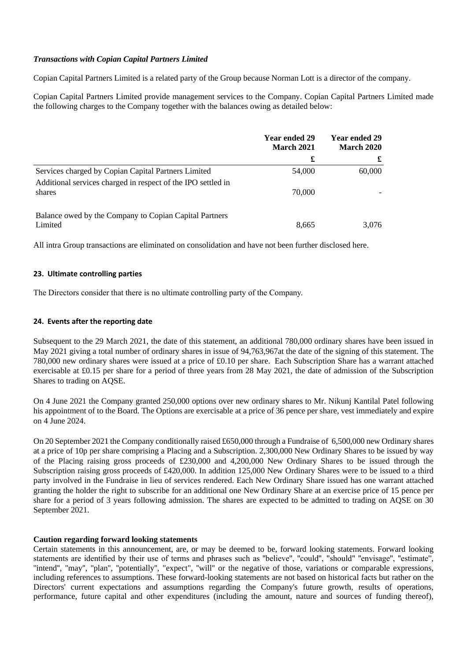# *Transactions with Copian Capital Partners Limited*

Copian Capital Partners Limited is a related party of the Group because Norman Lott is a director of the company.

Copian Capital Partners Limited provide management services to the Company. Copian Capital Partners Limited made the following charges to the Company together with the balances owing as detailed below:

|                                                                        | Year ended 29<br><b>March 2021</b> | Year ended 29<br><b>March 2020</b> |  |
|------------------------------------------------------------------------|------------------------------------|------------------------------------|--|
|                                                                        | £                                  | £                                  |  |
| Services charged by Copian Capital Partners Limited                    | 54,000                             | 60,000                             |  |
| Additional services charged in respect of the IPO settled in<br>shares | 70,000                             |                                    |  |
| Balance owed by the Company to Copian Capital Partners<br>Limited      | 8,665                              | 3.076                              |  |

All intra Group transactions are eliminated on consolidation and have not been further disclosed here.

#### **23. Ultimate controlling parties**

The Directors consider that there is no ultimate controlling party of the Company.

#### **24. Events after the reporting date**

Subsequent to the 29 March 2021, the date of this statement, an additional 780,000 ordinary shares have been issued in May 2021 giving a total number of ordinary shares in issue of 94,763,967at the date of the signing of this statement. The 780,000 new ordinary shares were issued at a price of £0.10 per share. Each Subscription Share has a warrant attached exercisable at £0.15 per share for a period of three years from 28 May 2021, the date of admission of the Subscription Shares to trading on AQSE.

On 4 June 2021 the Company granted 250,000 options over new ordinary shares to Mr. Nikunj Kantilal Patel following his appointment of to the Board. The Options are exercisable at a price of 36 pence per share, vest immediately and expire on 4 June 2024.

On 20 September 2021 the Company conditionally raised £650,000 through a Fundraise of 6,500,000 new Ordinary shares at a price of 10p per share comprising a Placing and a Subscription. 2,300,000 New Ordinary Shares to be issued by way of the Placing raising gross proceeds of £230,000 and 4,200,000 New Ordinary Shares to be issued through the Subscription raising gross proceeds of £420,000. In addition 125,000 New Ordinary Shares were to be issued to a third party involved in the Fundraise in lieu of services rendered. Each New Ordinary Share issued has one warrant attached granting the holder the right to subscribe for an additional one New Ordinary Share at an exercise price of 15 pence per share for a period of 3 years following admission. The shares are expected to be admitted to trading on AQSE on 30 September 2021.

#### **Caution regarding forward looking statements**

Certain statements in this announcement, are, or may be deemed to be, forward looking statements. Forward looking statements are identified by their use of terms and phrases such as ''believe'', ''could'', "should" ''envisage'', ''estimate'', ''intend'', ''may'', ''plan'', ''potentially'', "expect", ''will'' or the negative of those, variations or comparable expressions, including references to assumptions. These forward-looking statements are not based on historical facts but rather on the Directors' current expectations and assumptions regarding the Company's future growth, results of operations, performance, future capital and other expenditures (including the amount, nature and sources of funding thereof),